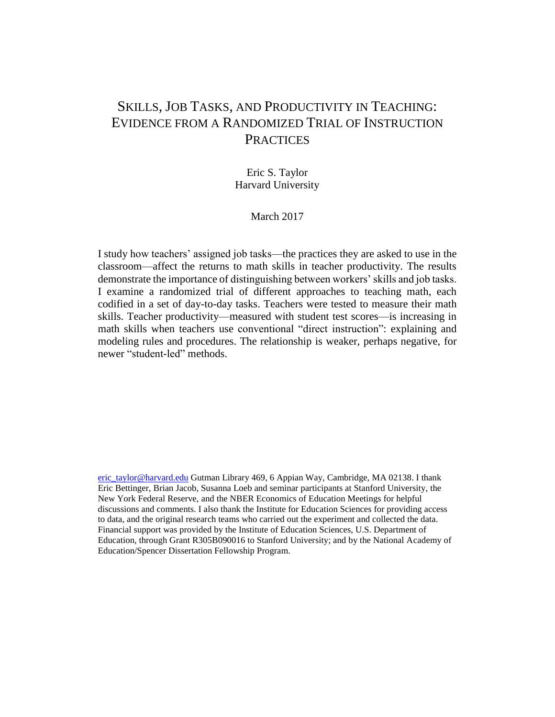# SKILLS, JOB TASKS, AND PRODUCTIVITY IN TEACHING: EVIDENCE FROM A RANDOMIZED TRIAL OF INSTRUCTION **PRACTICES**

# Eric S. Taylor Harvard University

## March 2017

I study how teachers' assigned job tasks—the practices they are asked to use in the classroom—affect the returns to math skills in teacher productivity. The results demonstrate the importance of distinguishing between workers' skills and job tasks. I examine a randomized trial of different approaches to teaching math, each codified in a set of day-to-day tasks. Teachers were tested to measure their math skills. Teacher productivity—measured with student test scores—is increasing in math skills when teachers use conventional "direct instruction": explaining and modeling rules and procedures. The relationship is weaker, perhaps negative, for newer "student-led" methods.

[eric\\_taylor@harvard.edu](mailto:eric_taylor@harvard.edu) Gutman Library 469, 6 Appian Way, Cambridge, MA 02138. I thank Eric Bettinger, Brian Jacob, Susanna Loeb and seminar participants at Stanford University, the New York Federal Reserve, and the NBER Economics of Education Meetings for helpful discussions and comments. I also thank the Institute for Education Sciences for providing access to data, and the original research teams who carried out the experiment and collected the data. Financial support was provided by the Institute of Education Sciences, U.S. Department of Education, through Grant R305B090016 to Stanford University; and by the National Academy of Education/Spencer Dissertation Fellowship Program.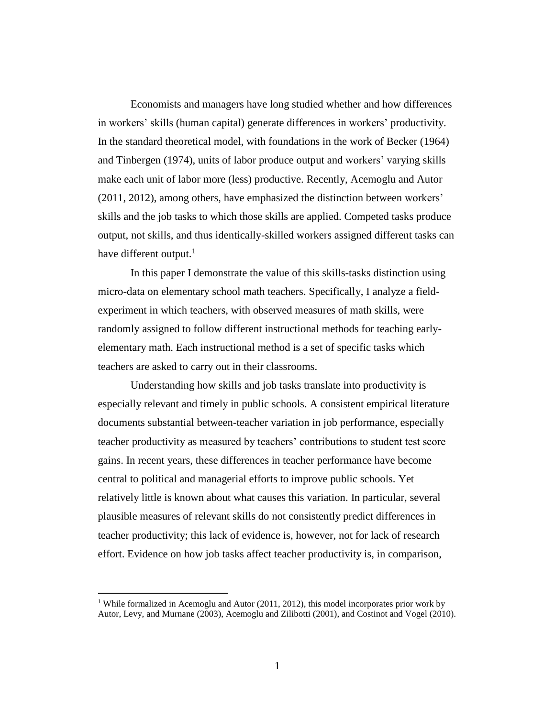Economists and managers have long studied whether and how differences in workers' skills (human capital) generate differences in workers' productivity. In the standard theoretical model, with foundations in the work of Becker (1964) and Tinbergen (1974), units of labor produce output and workers' varying skills make each unit of labor more (less) productive. Recently, Acemoglu and Autor (2011, 2012), among others, have emphasized the distinction between workers' skills and the job tasks to which those skills are applied. Competed tasks produce output, not skills, and thus identically-skilled workers assigned different tasks can have different output. $<sup>1</sup>$ </sup>

In this paper I demonstrate the value of this skills-tasks distinction using micro-data on elementary school math teachers. Specifically, I analyze a fieldexperiment in which teachers, with observed measures of math skills, were randomly assigned to follow different instructional methods for teaching earlyelementary math. Each instructional method is a set of specific tasks which teachers are asked to carry out in their classrooms.

Understanding how skills and job tasks translate into productivity is especially relevant and timely in public schools. A consistent empirical literature documents substantial between-teacher variation in job performance, especially teacher productivity as measured by teachers' contributions to student test score gains. In recent years, these differences in teacher performance have become central to political and managerial efforts to improve public schools. Yet relatively little is known about what causes this variation. In particular, several plausible measures of relevant skills do not consistently predict differences in teacher productivity; this lack of evidence is, however, not for lack of research effort. Evidence on how job tasks affect teacher productivity is, in comparison,

<sup>&</sup>lt;sup>1</sup> While formalized in Acemoglu and Autor (2011, 2012), this model incorporates prior work by Autor, Levy, and Murnane (2003), Acemoglu and Zilibotti (2001), and Costinot and Vogel (2010).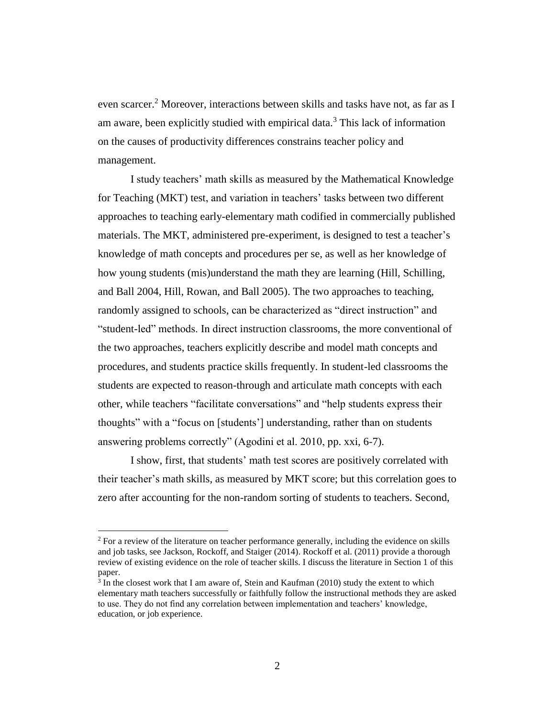even scarcer. <sup>2</sup> Moreover, interactions between skills and tasks have not, as far as I am aware, been explicitly studied with empirical data.<sup>3</sup> This lack of information on the causes of productivity differences constrains teacher policy and management.

I study teachers' math skills as measured by the Mathematical Knowledge for Teaching (MKT) test, and variation in teachers' tasks between two different approaches to teaching early-elementary math codified in commercially published materials. The MKT, administered pre-experiment, is designed to test a teacher's knowledge of math concepts and procedures per se, as well as her knowledge of how young students (mis)understand the math they are learning (Hill, Schilling, and Ball 2004, Hill, Rowan, and Ball 2005). The two approaches to teaching, randomly assigned to schools, can be characterized as "direct instruction" and "student-led" methods. In direct instruction classrooms, the more conventional of the two approaches, teachers explicitly describe and model math concepts and procedures, and students practice skills frequently. In student-led classrooms the students are expected to reason-through and articulate math concepts with each other, while teachers "facilitate conversations" and "help students express their thoughts" with a "focus on [students'] understanding, rather than on students answering problems correctly" (Agodini et al. 2010, pp. xxi, 6-7).

I show, first, that students' math test scores are positively correlated with their teacher's math skills, as measured by MKT score; but this correlation goes to zero after accounting for the non-random sorting of students to teachers. Second,

<sup>&</sup>lt;sup>2</sup> For a review of the literature on teacher performance generally, including the evidence on skills and job tasks, see Jackson, Rockoff, and Staiger (2014). Rockoff et al. (2011) provide a thorough review of existing evidence on the role of teacher skills. I discuss the literature in Section 1 of this paper.

 $3$  In the closest work that I am aware of, Stein and Kaufman (2010) study the extent to which elementary math teachers successfully or faithfully follow the instructional methods they are asked to use. They do not find any correlation between implementation and teachers' knowledge, education, or job experience.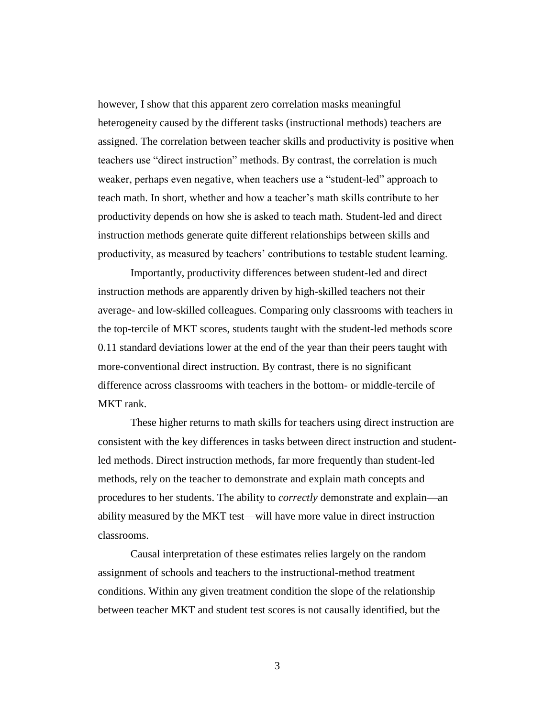however, I show that this apparent zero correlation masks meaningful heterogeneity caused by the different tasks (instructional methods) teachers are assigned. The correlation between teacher skills and productivity is positive when teachers use "direct instruction" methods. By contrast, the correlation is much weaker, perhaps even negative, when teachers use a "student-led" approach to teach math. In short, whether and how a teacher's math skills contribute to her productivity depends on how she is asked to teach math. Student-led and direct instruction methods generate quite different relationships between skills and productivity, as measured by teachers' contributions to testable student learning.

Importantly, productivity differences between student-led and direct instruction methods are apparently driven by high-skilled teachers not their average- and low-skilled colleagues. Comparing only classrooms with teachers in the top-tercile of MKT scores, students taught with the student-led methods score 0.11 standard deviations lower at the end of the year than their peers taught with more-conventional direct instruction. By contrast, there is no significant difference across classrooms with teachers in the bottom- or middle-tercile of MKT rank.

These higher returns to math skills for teachers using direct instruction are consistent with the key differences in tasks between direct instruction and studentled methods. Direct instruction methods, far more frequently than student-led methods, rely on the teacher to demonstrate and explain math concepts and procedures to her students. The ability to *correctly* demonstrate and explain—an ability measured by the MKT test—will have more value in direct instruction classrooms.

Causal interpretation of these estimates relies largely on the random assignment of schools and teachers to the instructional-method treatment conditions. Within any given treatment condition the slope of the relationship between teacher MKT and student test scores is not causally identified, but the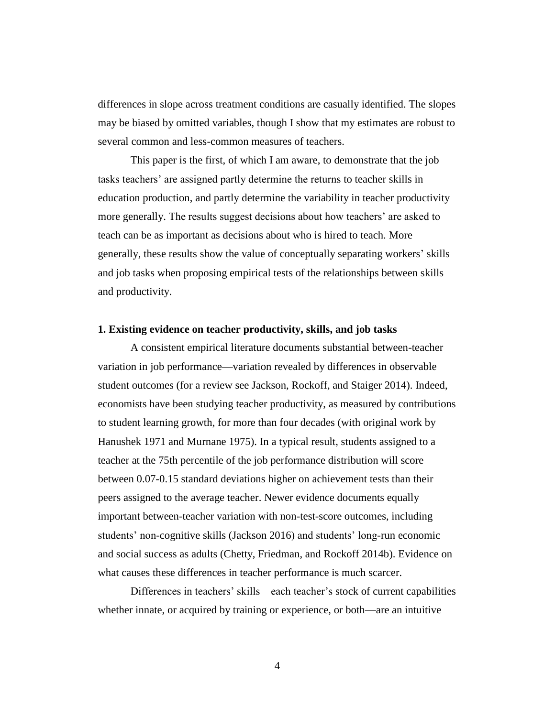differences in slope across treatment conditions are casually identified. The slopes may be biased by omitted variables, though I show that my estimates are robust to several common and less-common measures of teachers.

This paper is the first, of which I am aware, to demonstrate that the job tasks teachers' are assigned partly determine the returns to teacher skills in education production, and partly determine the variability in teacher productivity more generally. The results suggest decisions about how teachers' are asked to teach can be as important as decisions about who is hired to teach. More generally, these results show the value of conceptually separating workers' skills and job tasks when proposing empirical tests of the relationships between skills and productivity.

#### **1. Existing evidence on teacher productivity, skills, and job tasks**

A consistent empirical literature documents substantial between-teacher variation in job performance—variation revealed by differences in observable student outcomes (for a review see Jackson, Rockoff, and Staiger 2014). Indeed, economists have been studying teacher productivity, as measured by contributions to student learning growth, for more than four decades (with original work by Hanushek 1971 and Murnane 1975). In a typical result, students assigned to a teacher at the 75th percentile of the job performance distribution will score between 0.07-0.15 standard deviations higher on achievement tests than their peers assigned to the average teacher. Newer evidence documents equally important between-teacher variation with non-test-score outcomes, including students' non-cognitive skills (Jackson 2016) and students' long-run economic and social success as adults (Chetty, Friedman, and Rockoff 2014b). Evidence on what causes these differences in teacher performance is much scarcer.

Differences in teachers' skills—each teacher's stock of current capabilities whether innate, or acquired by training or experience, or both—are an intuitive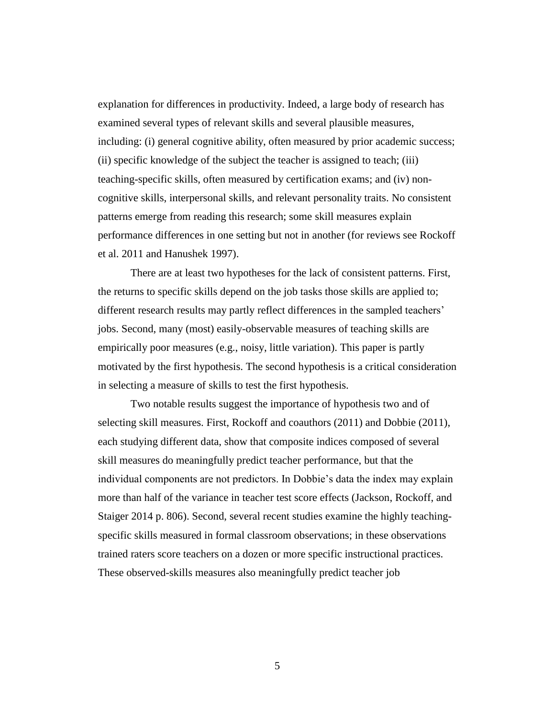explanation for differences in productivity. Indeed, a large body of research has examined several types of relevant skills and several plausible measures, including: (i) general cognitive ability, often measured by prior academic success; (ii) specific knowledge of the subject the teacher is assigned to teach; (iii) teaching-specific skills, often measured by certification exams; and (iv) noncognitive skills, interpersonal skills, and relevant personality traits. No consistent patterns emerge from reading this research; some skill measures explain performance differences in one setting but not in another (for reviews see Rockoff et al. 2011 and Hanushek 1997).

There are at least two hypotheses for the lack of consistent patterns. First, the returns to specific skills depend on the job tasks those skills are applied to; different research results may partly reflect differences in the sampled teachers' jobs. Second, many (most) easily-observable measures of teaching skills are empirically poor measures (e.g., noisy, little variation). This paper is partly motivated by the first hypothesis. The second hypothesis is a critical consideration in selecting a measure of skills to test the first hypothesis.

Two notable results suggest the importance of hypothesis two and of selecting skill measures. First, Rockoff and coauthors (2011) and Dobbie (2011), each studying different data, show that composite indices composed of several skill measures do meaningfully predict teacher performance, but that the individual components are not predictors. In Dobbie's data the index may explain more than half of the variance in teacher test score effects (Jackson, Rockoff, and Staiger 2014 p. 806). Second, several recent studies examine the highly teachingspecific skills measured in formal classroom observations; in these observations trained raters score teachers on a dozen or more specific instructional practices. These observed-skills measures also meaningfully predict teacher job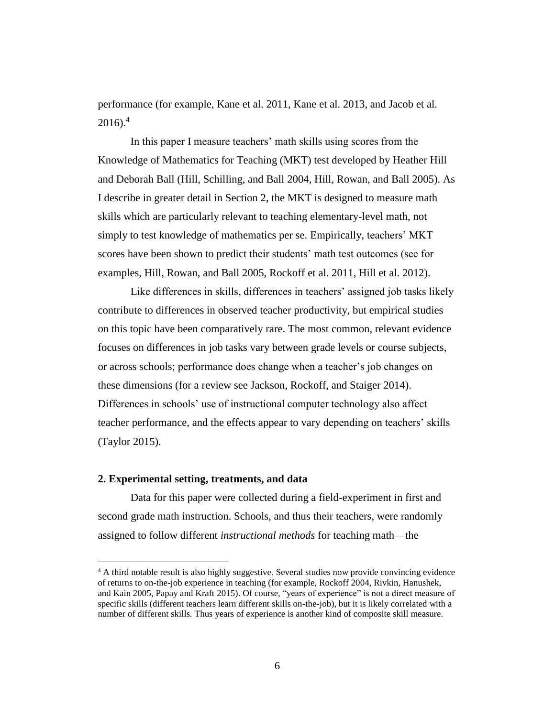performance (for example, Kane et al. 2011, Kane et al. 2013, and Jacob et al.  $2016$ .<sup>4</sup>

In this paper I measure teachers' math skills using scores from the Knowledge of Mathematics for Teaching (MKT) test developed by Heather Hill and Deborah Ball (Hill, Schilling, and Ball 2004, Hill, Rowan, and Ball 2005). As I describe in greater detail in Section 2, the MKT is designed to measure math skills which are particularly relevant to teaching elementary-level math, not simply to test knowledge of mathematics per se. Empirically, teachers' MKT scores have been shown to predict their students' math test outcomes (see for examples, Hill, Rowan, and Ball 2005, Rockoff et al. 2011, Hill et al. 2012).

Like differences in skills, differences in teachers' assigned job tasks likely contribute to differences in observed teacher productivity, but empirical studies on this topic have been comparatively rare. The most common, relevant evidence focuses on differences in job tasks vary between grade levels or course subjects, or across schools; performance does change when a teacher's job changes on these dimensions (for a review see Jackson, Rockoff, and Staiger 2014). Differences in schools' use of instructional computer technology also affect teacher performance, and the effects appear to vary depending on teachers' skills (Taylor 2015).

#### **2. Experimental setting, treatments, and data**

 $\overline{a}$ 

Data for this paper were collected during a field-experiment in first and second grade math instruction. Schools, and thus their teachers, were randomly assigned to follow different *instructional methods* for teaching math—the

<sup>4</sup> A third notable result is also highly suggestive. Several studies now provide convincing evidence of returns to on-the-job experience in teaching (for example, Rockoff 2004, Rivkin, Hanushek, and Kain 2005, Papay and Kraft 2015). Of course, "years of experience" is not a direct measure of specific skills (different teachers learn different skills on-the-job), but it is likely correlated with a number of different skills. Thus years of experience is another kind of composite skill measure.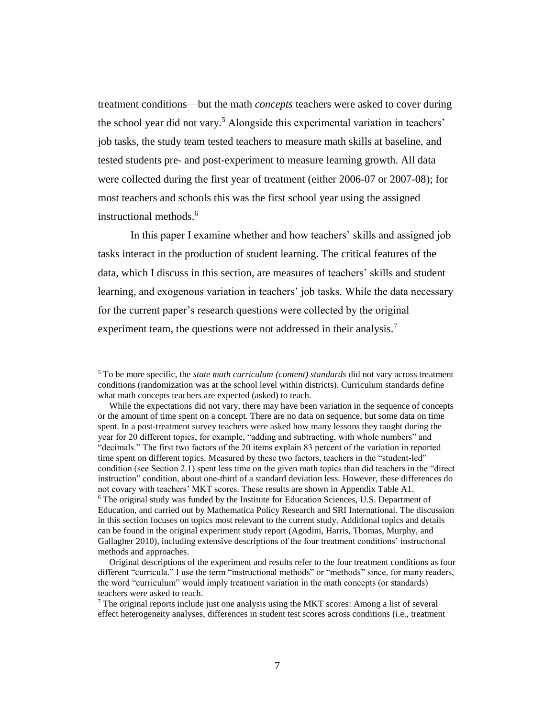treatment conditions—but the math *concepts* teachers were asked to cover during the school year did not vary.<sup>5</sup> Alongside this experimental variation in teachers' job tasks, the study team tested teachers to measure math skills at baseline, and tested students pre- and post-experiment to measure learning growth. All data were collected during the first year of treatment (either 2006-07 or 2007-08); for most teachers and schools this was the first school year using the assigned instructional methods.<sup>6</sup>

In this paper I examine whether and how teachers' skills and assigned job tasks interact in the production of student learning. The critical features of the data, which I discuss in this section, are measures of teachers' skills and student learning, and exogenous variation in teachers' job tasks. While the data necessary for the current paper's research questions were collected by the original experiment team, the questions were not addressed in their analysis.<sup>7</sup>

<sup>5</sup> To be more specific, the *state math curriculum (content) standards* did not vary across treatment conditions (randomization was at the school level within districts). Curriculum standards define what math concepts teachers are expected (asked) to teach.

While the expectations did not vary, there may have been variation in the sequence of concepts or the amount of time spent on a concept. There are no data on sequence, but some data on time spent. In a post-treatment survey teachers were asked how many lessons they taught during the year for 20 different topics, for example, "adding and subtracting, with whole numbers" and "decimals." The first two factors of the 20 items explain 83 percent of the variation in reported time spent on different topics. Measured by these two factors, teachers in the "student-led" condition (see Section 2.1) spent less time on the given math topics than did teachers in the "direct instruction" condition, about one-third of a standard deviation less. However, these differences do not covary with teachers' MKT scores. These results are shown in Appendix Table A1. <sup>6</sup> The original study was funded by the Institute for Education Sciences, U.S. Department of Education, and carried out by Mathematica Policy Research and SRI International. The discussion in this section focuses on topics most relevant to the current study. Additional topics and details can be found in the original experiment study report (Agodini, Harris, Thomas, Murphy, and Gallagher 2010), including extensive descriptions of the four treatment conditions' instructional methods and approaches.

Original descriptions of the experiment and results refer to the four treatment conditions as four different "curricula." I use the term "instructional methods" or "methods" since, for many readers, the word "curriculum" would imply treatment variation in the math concepts (or standards) teachers were asked to teach.

 $<sup>7</sup>$  The original reports include just one analysis using the MKT scores: Among a list of several</sup> effect heterogeneity analyses, differences in student test scores across conditions (i.e., treatment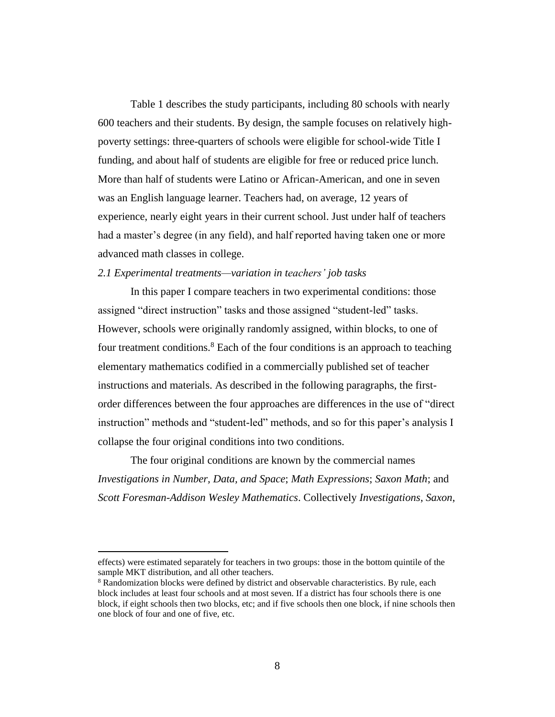Table 1 describes the study participants, including 80 schools with nearly 600 teachers and their students. By design, the sample focuses on relatively highpoverty settings: three-quarters of schools were eligible for school-wide Title I funding, and about half of students are eligible for free or reduced price lunch. More than half of students were Latino or African-American, and one in seven was an English language learner. Teachers had, on average, 12 years of experience, nearly eight years in their current school. Just under half of teachers had a master's degree (in any field), and half reported having taken one or more advanced math classes in college.

#### *2.1 Experimental treatments—variation in teachers' job tasks*

In this paper I compare teachers in two experimental conditions: those assigned "direct instruction" tasks and those assigned "student-led" tasks. However, schools were originally randomly assigned, within blocks, to one of four treatment conditions.<sup>8</sup> Each of the four conditions is an approach to teaching elementary mathematics codified in a commercially published set of teacher instructions and materials. As described in the following paragraphs, the firstorder differences between the four approaches are differences in the use of "direct instruction" methods and "student-led" methods, and so for this paper's analysis I collapse the four original conditions into two conditions.

The four original conditions are known by the commercial names *Investigations in Number, Data, and Space*; *Math Expressions*; *Saxon Math*; and *Scott Foresman-Addison Wesley Mathematics*. Collectively *Investigations*, *Saxon*,

effects) were estimated separately for teachers in two groups: those in the bottom quintile of the sample MKT distribution, and all other teachers.

 $8$  Randomization blocks were defined by district and observable characteristics. By rule, each block includes at least four schools and at most seven. If a district has four schools there is one block, if eight schools then two blocks, etc; and if five schools then one block, if nine schools then one block of four and one of five, etc.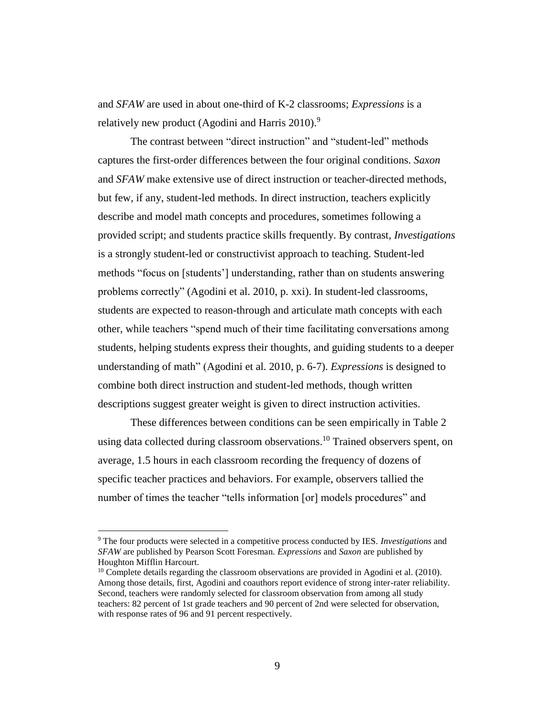and *SFAW* are used in about one-third of K-2 classrooms; *Expressions* is a relatively new product (Agodini and Harris  $2010$ ).<sup>9</sup>

The contrast between "direct instruction" and "student-led" methods captures the first-order differences between the four original conditions. *Saxon*  and *SFAW* make extensive use of direct instruction or teacher-directed methods, but few, if any, student-led methods. In direct instruction, teachers explicitly describe and model math concepts and procedures, sometimes following a provided script; and students practice skills frequently. By contrast, *Investigations* is a strongly student-led or constructivist approach to teaching. Student-led methods "focus on [students'] understanding, rather than on students answering problems correctly" (Agodini et al. 2010, p. xxi). In student-led classrooms, students are expected to reason-through and articulate math concepts with each other, while teachers "spend much of their time facilitating conversations among students, helping students express their thoughts, and guiding students to a deeper understanding of math" (Agodini et al. 2010, p. 6-7). *Expressions* is designed to combine both direct instruction and student-led methods, though written descriptions suggest greater weight is given to direct instruction activities.

These differences between conditions can be seen empirically in Table 2 using data collected during classroom observations. <sup>10</sup> Trained observers spent, on average, 1.5 hours in each classroom recording the frequency of dozens of specific teacher practices and behaviors. For example, observers tallied the number of times the teacher "tells information [or] models procedures" and

<sup>9</sup> The four products were selected in a competitive process conducted by IES. *Investigations* and *SFAW* are published by Pearson Scott Foresman. *Expressions* and *Saxon* are published by Houghton Mifflin Harcourt.

 $10$  Complete details regarding the classroom observations are provided in Agodini et al. (2010). Among those details, first, Agodini and coauthors report evidence of strong inter-rater reliability. Second, teachers were randomly selected for classroom observation from among all study teachers: 82 percent of 1st grade teachers and 90 percent of 2nd were selected for observation, with response rates of 96 and 91 percent respectively.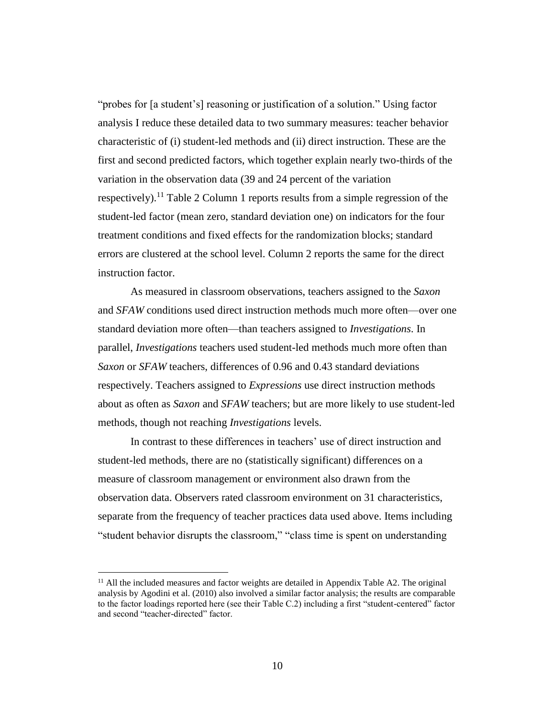"probes for [a student's] reasoning or justification of a solution." Using factor analysis I reduce these detailed data to two summary measures: teacher behavior characteristic of (i) student-led methods and (ii) direct instruction. These are the first and second predicted factors, which together explain nearly two-thirds of the variation in the observation data (39 and 24 percent of the variation respectively).<sup>11</sup> Table 2 Column 1 reports results from a simple regression of the student-led factor (mean zero, standard deviation one) on indicators for the four treatment conditions and fixed effects for the randomization blocks; standard errors are clustered at the school level. Column 2 reports the same for the direct instruction factor.

As measured in classroom observations, teachers assigned to the *Saxon* and *SFAW* conditions used direct instruction methods much more often—over one standard deviation more often—than teachers assigned to *Investigations*. In parallel, *Investigations* teachers used student-led methods much more often than *Saxon* or *SFAW* teachers, differences of 0.96 and 0.43 standard deviations respectively. Teachers assigned to *Expressions* use direct instruction methods about as often as *Saxon* and *SFAW* teachers; but are more likely to use student-led methods, though not reaching *Investigations* levels.

In contrast to these differences in teachers' use of direct instruction and student-led methods, there are no (statistically significant) differences on a measure of classroom management or environment also drawn from the observation data. Observers rated classroom environment on 31 characteristics, separate from the frequency of teacher practices data used above. Items including "student behavior disrupts the classroom," "class time is spent on understanding

 $<sup>11</sup>$  All the included measures and factor weights are detailed in Appendix Table A2. The original</sup> analysis by Agodini et al. (2010) also involved a similar factor analysis; the results are comparable to the factor loadings reported here (see their Table C.2) including a first "student-centered" factor and second "teacher-directed" factor.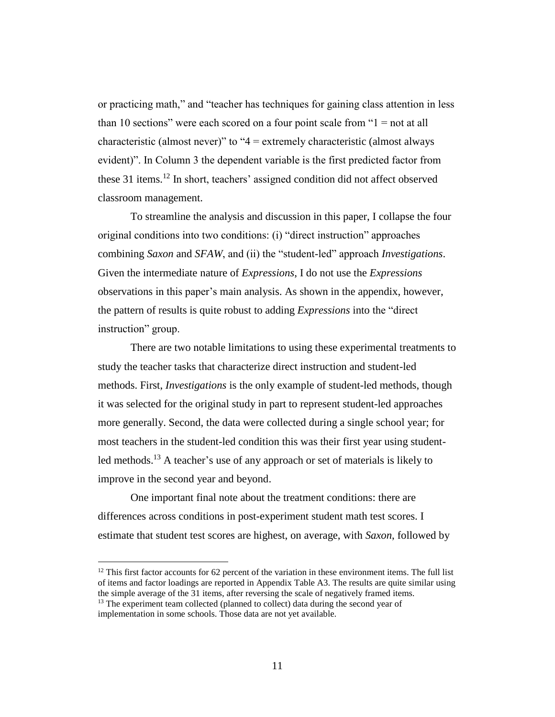or practicing math," and "teacher has techniques for gaining class attention in less than 10 sections" were each scored on a four point scale from "1 = not at all characteristic (almost never)" to "4 = extremely characteristic (almost always evident)". In Column 3 the dependent variable is the first predicted factor from these 31 items.<sup>12</sup> In short, teachers' assigned condition did not affect observed classroom management.

To streamline the analysis and discussion in this paper, I collapse the four original conditions into two conditions: (i) "direct instruction" approaches combining *Saxon* and *SFAW*, and (ii) the "student-led" approach *Investigations*. Given the intermediate nature of *Expressions*, I do not use the *Expressions* observations in this paper's main analysis. As shown in the appendix, however, the pattern of results is quite robust to adding *Expressions* into the "direct instruction" group.

There are two notable limitations to using these experimental treatments to study the teacher tasks that characterize direct instruction and student-led methods. First, *Investigations* is the only example of student-led methods, though it was selected for the original study in part to represent student-led approaches more generally. Second, the data were collected during a single school year; for most teachers in the student-led condition this was their first year using studentled methods.<sup>13</sup> A teacher's use of any approach or set of materials is likely to improve in the second year and beyond.

One important final note about the treatment conditions: there are differences across conditions in post-experiment student math test scores. I estimate that student test scores are highest, on average, with *Saxon*, followed by

 $12$  This first factor accounts for 62 percent of the variation in these environment items. The full list of items and factor loadings are reported in Appendix Table A3. The results are quite similar using the simple average of the 31 items, after reversing the scale of negatively framed items. <sup>13</sup> The experiment team collected (planned to collect) data during the second year of

implementation in some schools. Those data are not yet available.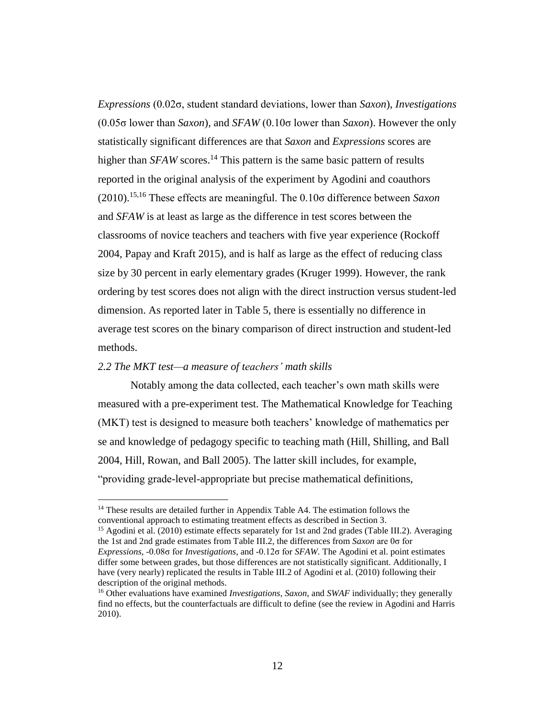*Expressions* (0.02σ, student standard deviations, lower than *Saxon*), *Investigations* (0.05σ lower than *Saxon*), and *SFAW* (0.10σ lower than *Saxon*). However the only statistically significant differences are that *Saxon* and *Expressions* scores are higher than *SFAW* scores.<sup>14</sup> This pattern is the same basic pattern of results reported in the original analysis of the experiment by Agodini and coauthors (2010).15,16 These effects are meaningful. The 0.10σ difference between *Saxon* and *SFAW* is at least as large as the difference in test scores between the classrooms of novice teachers and teachers with five year experience (Rockoff 2004, Papay and Kraft 2015), and is half as large as the effect of reducing class size by 30 percent in early elementary grades (Kruger 1999). However, the rank ordering by test scores does not align with the direct instruction versus student-led dimension. As reported later in Table 5, there is essentially no difference in average test scores on the binary comparison of direct instruction and student-led methods.

## *2.2 The MKT test—a measure of teachers' math skills*

 $\overline{a}$ 

Notably among the data collected, each teacher's own math skills were measured with a pre-experiment test. The Mathematical Knowledge for Teaching (MKT) test is designed to measure both teachers' knowledge of mathematics per se and knowledge of pedagogy specific to teaching math (Hill, Shilling, and Ball 2004, Hill, Rowan, and Ball 2005). The latter skill includes, for example, "providing grade-level-appropriate but precise mathematical definitions,

<sup>&</sup>lt;sup>14</sup> These results are detailed further in Appendix Table A4. The estimation follows the conventional approach to estimating treatment effects as described in Section 3.

<sup>&</sup>lt;sup>15</sup> Agodini et al. (2010) estimate effects separately for 1st and 2nd grades (Table III.2). Averaging the 1st and 2nd grade estimates from Table III.2, the differences from *Saxon* are 0σ for *Expressions*, -0.08σ for *Investigations*, and -0.12σ for *SFAW.* The Agodini et al. point estimates differ some between grades, but those differences are not statistically significant. Additionally, I have (very nearly) replicated the results in Table III.2 of Agodini et al. (2010) following their description of the original methods.

<sup>16</sup> Other evaluations have examined *Investigations*, *Saxon*, and *SWAF* individually; they generally find no effects, but the counterfactuals are difficult to define (see the review in Agodini and Harris 2010).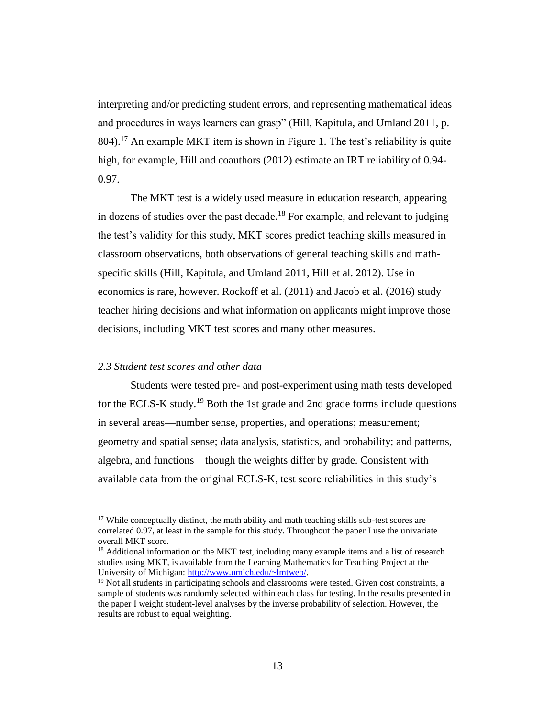interpreting and/or predicting student errors, and representing mathematical ideas and procedures in ways learners can grasp" (Hill, Kapitula, and Umland 2011, p. 804).<sup>17</sup> An example MKT item is shown in Figure 1. The test's reliability is quite high, for example, Hill and coauthors (2012) estimate an IRT reliability of 0.94- 0.97.

The MKT test is a widely used measure in education research, appearing in dozens of studies over the past decade.<sup>18</sup> For example, and relevant to judging the test's validity for this study, MKT scores predict teaching skills measured in classroom observations, both observations of general teaching skills and mathspecific skills (Hill, Kapitula, and Umland 2011, Hill et al. 2012). Use in economics is rare, however. Rockoff et al. (2011) and Jacob et al. (2016) study teacher hiring decisions and what information on applicants might improve those decisions, including MKT test scores and many other measures.

## *2.3 Student test scores and other data*

 $\overline{a}$ 

Students were tested pre- and post-experiment using math tests developed for the ECLS-K study.<sup>19</sup> Both the 1st grade and 2nd grade forms include questions in several areas—number sense, properties, and operations; measurement; geometry and spatial sense; data analysis, statistics, and probability; and patterns, algebra, and functions—though the weights differ by grade. Consistent with available data from the original ECLS-K, test score reliabilities in this study's

 $17$  While conceptually distinct, the math ability and math teaching skills sub-test scores are correlated 0.97, at least in the sample for this study. Throughout the paper I use the univariate overall MKT score.

 $18$  Additional information on the MKT test, including many example items and a list of research studies using MKT, is available from the Learning Mathematics for Teaching Project at the University of Michigan: [http://www.umich.edu/~lmtweb/.](http://www.umich.edu/~lmtweb/)

<sup>&</sup>lt;sup>19</sup> Not all students in participating schools and classrooms were tested. Given cost constraints, a sample of students was randomly selected within each class for testing. In the results presented in the paper I weight student-level analyses by the inverse probability of selection. However, the results are robust to equal weighting.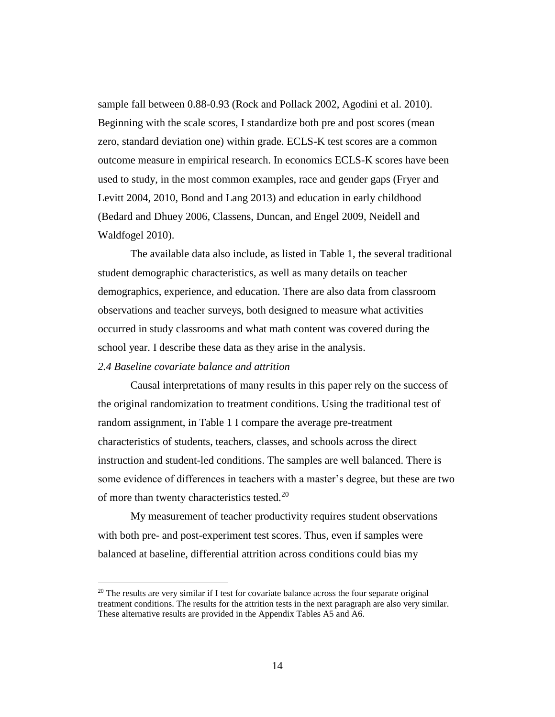sample fall between 0.88-0.93 (Rock and Pollack 2002, Agodini et al. 2010). Beginning with the scale scores, I standardize both pre and post scores (mean zero, standard deviation one) within grade. ECLS-K test scores are a common outcome measure in empirical research. In economics ECLS-K scores have been used to study, in the most common examples, race and gender gaps (Fryer and Levitt 2004, 2010, Bond and Lang 2013) and education in early childhood (Bedard and Dhuey 2006, Classens, Duncan, and Engel 2009, Neidell and Waldfogel 2010).

The available data also include, as listed in Table 1, the several traditional student demographic characteristics, as well as many details on teacher demographics, experience, and education. There are also data from classroom observations and teacher surveys, both designed to measure what activities occurred in study classrooms and what math content was covered during the school year. I describe these data as they arise in the analysis.

# *2.4 Baseline covariate balance and attrition*

 $\overline{a}$ 

Causal interpretations of many results in this paper rely on the success of the original randomization to treatment conditions. Using the traditional test of random assignment, in Table 1 I compare the average pre-treatment characteristics of students, teachers, classes, and schools across the direct instruction and student-led conditions. The samples are well balanced. There is some evidence of differences in teachers with a master's degree, but these are two of more than twenty characteristics tested.<sup>20</sup>

My measurement of teacher productivity requires student observations with both pre- and post-experiment test scores. Thus, even if samples were balanced at baseline, differential attrition across conditions could bias my

 $20$  The results are very similar if I test for covariate balance across the four separate original treatment conditions. The results for the attrition tests in the next paragraph are also very similar. These alternative results are provided in the Appendix Tables A5 and A6.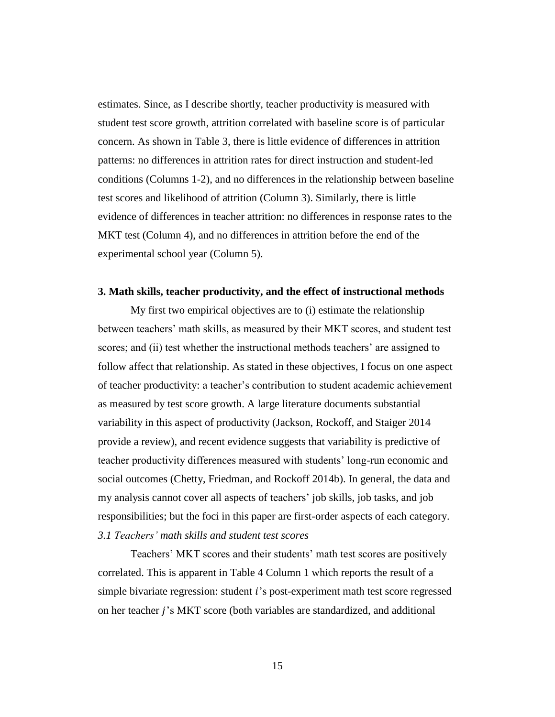estimates. Since, as I describe shortly, teacher productivity is measured with student test score growth, attrition correlated with baseline score is of particular concern. As shown in Table 3, there is little evidence of differences in attrition patterns: no differences in attrition rates for direct instruction and student-led conditions (Columns 1-2), and no differences in the relationship between baseline test scores and likelihood of attrition (Column 3). Similarly, there is little evidence of differences in teacher attrition: no differences in response rates to the MKT test (Column 4), and no differences in attrition before the end of the experimental school year (Column 5).

#### **3. Math skills, teacher productivity, and the effect of instructional methods**

My first two empirical objectives are to (i) estimate the relationship between teachers' math skills, as measured by their MKT scores, and student test scores; and (ii) test whether the instructional methods teachers' are assigned to follow affect that relationship. As stated in these objectives, I focus on one aspect of teacher productivity: a teacher's contribution to student academic achievement as measured by test score growth. A large literature documents substantial variability in this aspect of productivity (Jackson, Rockoff, and Staiger 2014 provide a review), and recent evidence suggests that variability is predictive of teacher productivity differences measured with students' long-run economic and social outcomes (Chetty, Friedman, and Rockoff 2014b). In general, the data and my analysis cannot cover all aspects of teachers' job skills, job tasks, and job responsibilities; but the foci in this paper are first-order aspects of each category. *3.1 Teachers' math skills and student test scores*

Teachers' MKT scores and their students' math test scores are positively correlated. This is apparent in Table 4 Column 1 which reports the result of a simple bivariate regression: student 's post-experiment math test score regressed on her teacher *j*'s MKT score (both variables are standardized, and additional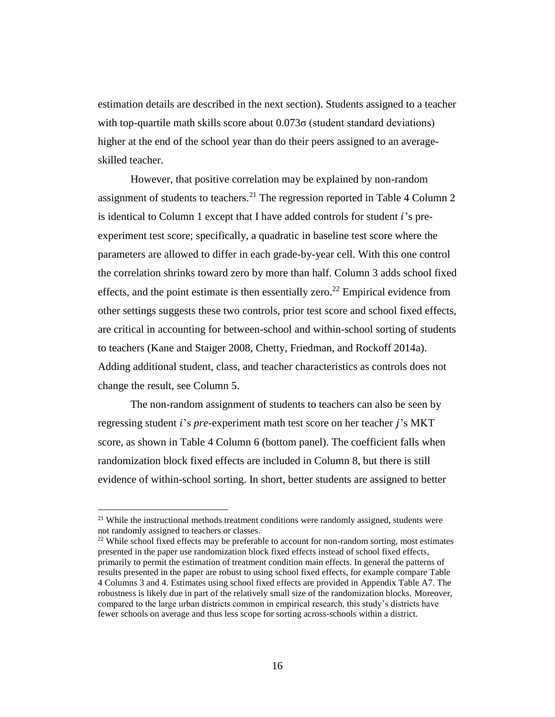estimation details are described in the next section). Students assigned to a teacher with top-quartile math skills score about  $0.073\sigma$  (student standard deviations) higher at the end of the school year than do their peers assigned to an averageskilled teacher.

However, that positive correlation may be explained by non-random assignment of students to teachers.<sup>21</sup> The regression reported in Table 4 Column 2 is identical to Column 1 except that I have added controls for student  $i$ 's preexperiment test score; specifically, a quadratic in baseline test score where the parameters are allowed to differ in each grade-by-year cell. With this one control the correlation shrinks toward zero by more than half. Column 3 adds school fixed effects, and the point estimate is then essentially zero.<sup>22</sup> Empirical evidence from other settings suggests these two controls, prior test score and school fixed effects, are critical in accounting for between-school and within-school sorting of students to teachers (Kane and Staiger 2008, Chetty, Friedman, and Rockoff 2014a). Adding additional student, class, and teacher characteristics as controls does not change the result, see Column 5.

The non-random assignment of students to teachers can also be seen by regressing student *i*'s *pre*-experiment math test score on her teacher *j*'s MKT score, as shown in Table 4 Column 6 (bottom panel). The coefficient falls when randomization block fixed effects are included in Column 8, but there is still evidence of within-school sorting. In short, better students are assigned to better

 $21$  While the instructional methods treatment conditions were randomly assigned, students were not randomly assigned to teachers or classes.

 $22$  While school fixed effects may be preferable to account for non-random sorting, most estimates presented in the paper use randomization block fixed effects instead of school fixed effects, primarily to permit the estimation of treatment condition main effects. In general the patterns of results presented in the paper are robust to using school fixed effects, for example compare Table 4 Columns 3 and 4. Estimates using school fixed effects are provided in Appendix Table A7. The robustness is likely due in part of the relatively small size of the randomization blocks. Moreover, compared to the large urban districts common in empirical research, this study's districts have fewer schools on average and thus less scope for sorting across-schools within a district.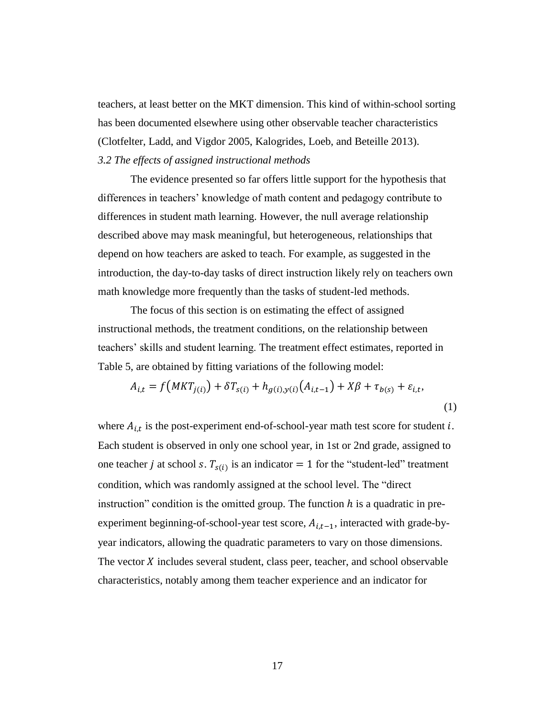teachers, at least better on the MKT dimension. This kind of within-school sorting has been documented elsewhere using other observable teacher characteristics (Clotfelter, Ladd, and Vigdor 2005, Kalogrides, Loeb, and Beteille 2013). *3.2 The effects of assigned instructional methods*

The evidence presented so far offers little support for the hypothesis that differences in teachers' knowledge of math content and pedagogy contribute to differences in student math learning. However, the null average relationship described above may mask meaningful, but heterogeneous, relationships that depend on how teachers are asked to teach. For example, as suggested in the introduction, the day-to-day tasks of direct instruction likely rely on teachers own math knowledge more frequently than the tasks of student-led methods.

The focus of this section is on estimating the effect of assigned instructional methods, the treatment conditions, on the relationship between teachers' skills and student learning. The treatment effect estimates, reported in Table 5, are obtained by fitting variations of the following model:

$$
A_{i,t} = f(MKT_{j(i)}) + \delta T_{s(i)} + h_{g(i),y(i)}(A_{i,t-1}) + X\beta + \tau_{b(s)} + \varepsilon_{i,t},
$$
\n(1)

where  $A_{i,t}$  is the post-experiment end-of-school-year math test score for student i. Each student is observed in only one school year, in 1st or 2nd grade, assigned to one teacher *j* at school *s*.  $T_{s(i)}$  is an indicator = 1 for the "student-led" treatment condition, which was randomly assigned at the school level. The "direct instruction" condition is the omitted group. The function  $h$  is a quadratic in preexperiment beginning-of-school-year test score,  $A_{i,t-1}$ , interacted with grade-byyear indicators, allowing the quadratic parameters to vary on those dimensions. The vector  $X$  includes several student, class peer, teacher, and school observable characteristics, notably among them teacher experience and an indicator for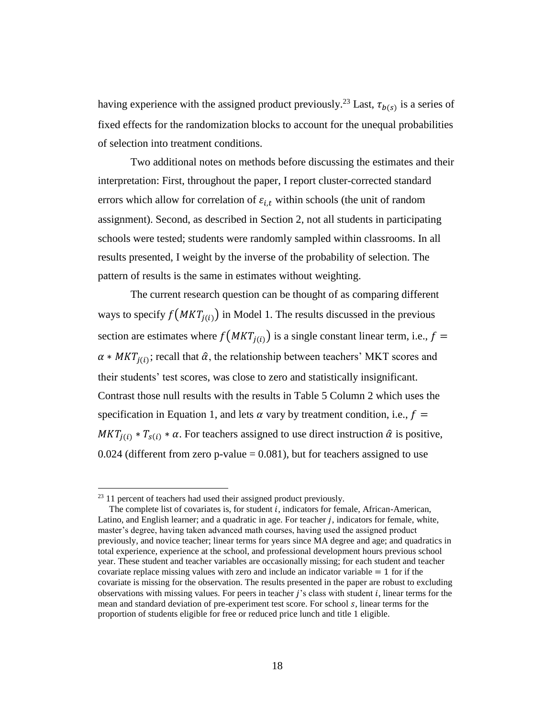having experience with the assigned product previously.<sup>23</sup> Last,  $\tau_{b(s)}$  is a series of fixed effects for the randomization blocks to account for the unequal probabilities of selection into treatment conditions.

Two additional notes on methods before discussing the estimates and their interpretation: First, throughout the paper, I report cluster-corrected standard errors which allow for correlation of  $\varepsilon_{i,t}$  within schools (the unit of random assignment). Second, as described in Section 2, not all students in participating schools were tested; students were randomly sampled within classrooms. In all results presented, I weight by the inverse of the probability of selection. The pattern of results is the same in estimates without weighting.

The current research question can be thought of as comparing different ways to specify  $f(MKT_{i(i)})$  in Model 1. The results discussed in the previous section are estimates where  $f(MKT<sub>j(i)</sub>)$  is a single constant linear term, i.e.,  $f =$  $\alpha * MKT_{j(i)}$ ; recall that  $\hat{\alpha}$ , the relationship between teachers' MKT scores and their students' test scores, was close to zero and statistically insignificant. Contrast those null results with the results in Table 5 Column 2 which uses the specification in Equation 1, and lets  $\alpha$  vary by treatment condition, i.e.,  $f =$  $MKT_{i(i)} * T_{s(i)} * \alpha$ . For teachers assigned to use direct instruction  $\hat{\alpha}$  is positive,  $0.024$  (different from zero p-value = 0.081), but for teachers assigned to use

<sup>&</sup>lt;sup>23</sup> 11 percent of teachers had used their assigned product previously.

The complete list of covariates is, for student  $i$ , indicators for female, African-American, Latino, and English learner; and a quadratic in age. For teacher  $j$ , indicators for female, white, master's degree, having taken advanced math courses, having used the assigned product previously, and novice teacher; linear terms for years since MA degree and age; and quadratics in total experience, experience at the school, and professional development hours previous school year. These student and teacher variables are occasionally missing; for each student and teacher covariate replace missing values with zero and include an indicator variable  $= 1$  for if the covariate is missing for the observation. The results presented in the paper are robust to excluding observations with missing values. For peers in teacher  $j$ 's class with student  $i$ , linear terms for the mean and standard deviation of pre-experiment test score. For school  $s$ , linear terms for the proportion of students eligible for free or reduced price lunch and title 1 eligible.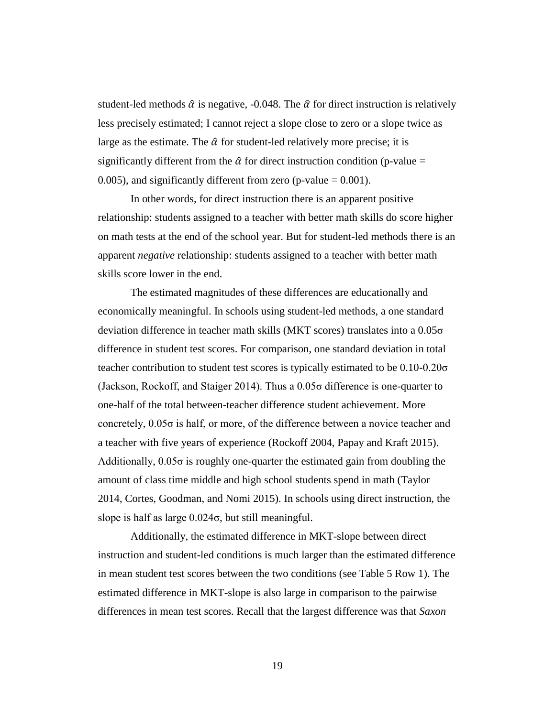student-led methods  $\hat{\alpha}$  is negative, -0.048. The  $\hat{\alpha}$  for direct instruction is relatively less precisely estimated; I cannot reject a slope close to zero or a slope twice as large as the estimate. The  $\hat{\alpha}$  for student-led relatively more precise; it is significantly different from the  $\hat{\alpha}$  for direct instruction condition (p-value = 0.005), and significantly different from zero (p-value  $= 0.001$ ).

In other words, for direct instruction there is an apparent positive relationship: students assigned to a teacher with better math skills do score higher on math tests at the end of the school year. But for student-led methods there is an apparent *negative* relationship: students assigned to a teacher with better math skills score lower in the end.

The estimated magnitudes of these differences are educationally and economically meaningful. In schools using student-led methods, a one standard deviation difference in teacher math skills (MKT scores) translates into a 0.05σ difference in student test scores. For comparison, one standard deviation in total teacher contribution to student test scores is typically estimated to be 0.10-0.20σ (Jackson, Rockoff, and Staiger 2014). Thus a 0.05σ difference is one-quarter to one-half of the total between-teacher difference student achievement. More concretely, 0.05σ is half, or more, of the difference between a novice teacher and a teacher with five years of experience (Rockoff 2004, Papay and Kraft 2015). Additionally,  $0.05\sigma$  is roughly one-quarter the estimated gain from doubling the amount of class time middle and high school students spend in math (Taylor 2014, Cortes, Goodman, and Nomi 2015). In schools using direct instruction, the slope is half as large 0.024σ, but still meaningful.

Additionally, the estimated difference in MKT-slope between direct instruction and student-led conditions is much larger than the estimated difference in mean student test scores between the two conditions (see Table 5 Row 1). The estimated difference in MKT-slope is also large in comparison to the pairwise differences in mean test scores. Recall that the largest difference was that *Saxon*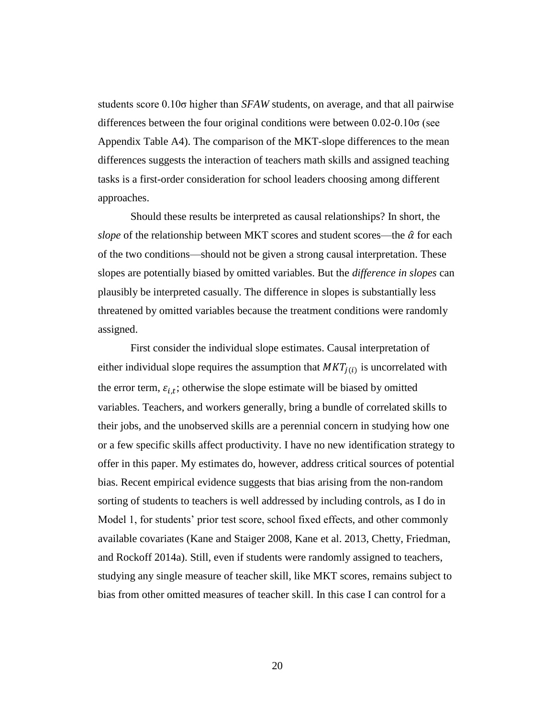students score 0.10σ higher than *SFAW* students, on average, and that all pairwise differences between the four original conditions were between  $0.02$ - $0.10\sigma$  (see Appendix Table A4). The comparison of the MKT-slope differences to the mean differences suggests the interaction of teachers math skills and assigned teaching tasks is a first-order consideration for school leaders choosing among different approaches.

Should these results be interpreted as causal relationships? In short, the *slope* of the relationship between MKT scores and student scores—the  $\hat{\alpha}$  for each of the two conditions—should not be given a strong causal interpretation. These slopes are potentially biased by omitted variables. But the *difference in slopes* can plausibly be interpreted casually. The difference in slopes is substantially less threatened by omitted variables because the treatment conditions were randomly assigned.

First consider the individual slope estimates. Causal interpretation of either individual slope requires the assumption that  $MKT<sub>j(i)</sub>$  is uncorrelated with the error term,  $\varepsilon_{i,t}$ ; otherwise the slope estimate will be biased by omitted variables. Teachers, and workers generally, bring a bundle of correlated skills to their jobs, and the unobserved skills are a perennial concern in studying how one or a few specific skills affect productivity. I have no new identification strategy to offer in this paper. My estimates do, however, address critical sources of potential bias. Recent empirical evidence suggests that bias arising from the non-random sorting of students to teachers is well addressed by including controls, as I do in Model 1, for students' prior test score, school fixed effects, and other commonly available covariates (Kane and Staiger 2008, Kane et al. 2013, Chetty, Friedman, and Rockoff 2014a). Still, even if students were randomly assigned to teachers, studying any single measure of teacher skill, like MKT scores, remains subject to bias from other omitted measures of teacher skill. In this case I can control for a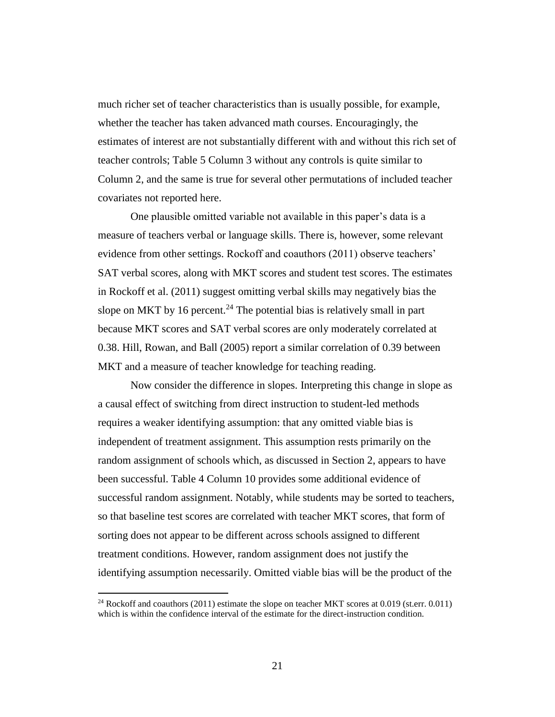much richer set of teacher characteristics than is usually possible, for example, whether the teacher has taken advanced math courses. Encouragingly, the estimates of interest are not substantially different with and without this rich set of teacher controls; Table 5 Column 3 without any controls is quite similar to Column 2, and the same is true for several other permutations of included teacher covariates not reported here.

One plausible omitted variable not available in this paper's data is a measure of teachers verbal or language skills. There is, however, some relevant evidence from other settings. Rockoff and coauthors (2011) observe teachers' SAT verbal scores, along with MKT scores and student test scores. The estimates in Rockoff et al. (2011) suggest omitting verbal skills may negatively bias the slope on MKT by 16 percent.<sup>24</sup> The potential bias is relatively small in part because MKT scores and SAT verbal scores are only moderately correlated at 0.38. Hill, Rowan, and Ball (2005) report a similar correlation of 0.39 between MKT and a measure of teacher knowledge for teaching reading.

Now consider the difference in slopes. Interpreting this change in slope as a causal effect of switching from direct instruction to student-led methods requires a weaker identifying assumption: that any omitted viable bias is independent of treatment assignment. This assumption rests primarily on the random assignment of schools which, as discussed in Section 2, appears to have been successful. Table 4 Column 10 provides some additional evidence of successful random assignment. Notably, while students may be sorted to teachers, so that baseline test scores are correlated with teacher MKT scores, that form of sorting does not appear to be different across schools assigned to different treatment conditions. However, random assignment does not justify the identifying assumption necessarily. Omitted viable bias will be the product of the

<sup>&</sup>lt;sup>24</sup> Rockoff and coauthors (2011) estimate the slope on teacher MKT scores at 0.019 (st.err. 0.011) which is within the confidence interval of the estimate for the direct-instruction condition.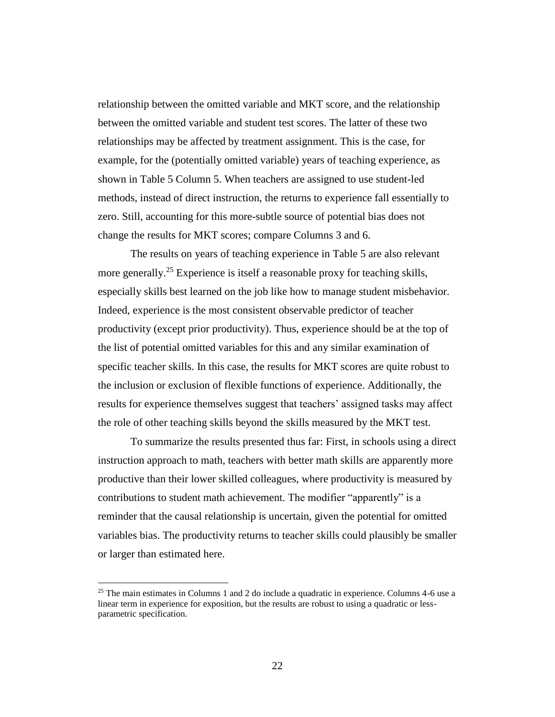relationship between the omitted variable and MKT score, and the relationship between the omitted variable and student test scores. The latter of these two relationships may be affected by treatment assignment. This is the case, for example, for the (potentially omitted variable) years of teaching experience, as shown in Table 5 Column 5. When teachers are assigned to use student-led methods, instead of direct instruction, the returns to experience fall essentially to zero. Still, accounting for this more-subtle source of potential bias does not change the results for MKT scores; compare Columns 3 and 6.

The results on years of teaching experience in Table 5 are also relevant more generally.<sup>25</sup> Experience is itself a reasonable proxy for teaching skills, especially skills best learned on the job like how to manage student misbehavior. Indeed, experience is the most consistent observable predictor of teacher productivity (except prior productivity). Thus, experience should be at the top of the list of potential omitted variables for this and any similar examination of specific teacher skills. In this case, the results for MKT scores are quite robust to the inclusion or exclusion of flexible functions of experience. Additionally, the results for experience themselves suggest that teachers' assigned tasks may affect the role of other teaching skills beyond the skills measured by the MKT test.

To summarize the results presented thus far: First, in schools using a direct instruction approach to math, teachers with better math skills are apparently more productive than their lower skilled colleagues, where productivity is measured by contributions to student math achievement. The modifier "apparently" is a reminder that the causal relationship is uncertain, given the potential for omitted variables bias. The productivity returns to teacher skills could plausibly be smaller or larger than estimated here.

<sup>&</sup>lt;sup>25</sup> The main estimates in Columns 1 and 2 do include a quadratic in experience. Columns  $4-6$  use a linear term in experience for exposition, but the results are robust to using a quadratic or lessparametric specification.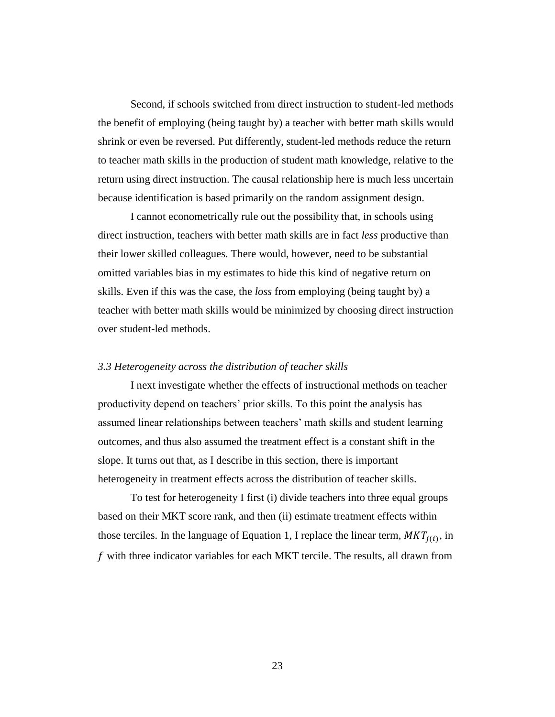Second, if schools switched from direct instruction to student-led methods the benefit of employing (being taught by) a teacher with better math skills would shrink or even be reversed. Put differently, student-led methods reduce the return to teacher math skills in the production of student math knowledge, relative to the return using direct instruction. The causal relationship here is much less uncertain because identification is based primarily on the random assignment design.

I cannot econometrically rule out the possibility that, in schools using direct instruction, teachers with better math skills are in fact *less* productive than their lower skilled colleagues. There would, however, need to be substantial omitted variables bias in my estimates to hide this kind of negative return on skills. Even if this was the case, the *loss* from employing (being taught by) a teacher with better math skills would be minimized by choosing direct instruction over student-led methods.

#### *3.3 Heterogeneity across the distribution of teacher skills*

I next investigate whether the effects of instructional methods on teacher productivity depend on teachers' prior skills. To this point the analysis has assumed linear relationships between teachers' math skills and student learning outcomes, and thus also assumed the treatment effect is a constant shift in the slope. It turns out that, as I describe in this section, there is important heterogeneity in treatment effects across the distribution of teacher skills.

To test for heterogeneity I first (i) divide teachers into three equal groups based on their MKT score rank, and then (ii) estimate treatment effects within those terciles. In the language of Equation 1, I replace the linear term,  $MKT<sub>j(i)</sub>$ , in  $f$  with three indicator variables for each MKT tercile. The results, all drawn from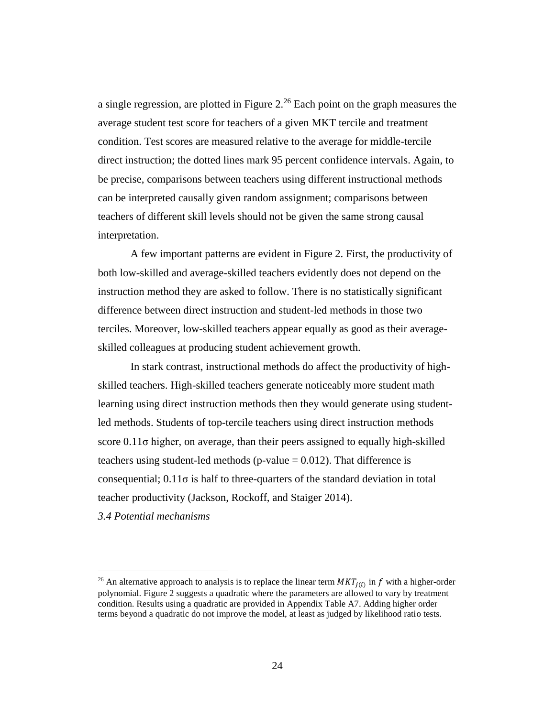a single regression, are plotted in Figure 2.<sup>26</sup> Each point on the graph measures the average student test score for teachers of a given MKT tercile and treatment condition. Test scores are measured relative to the average for middle-tercile direct instruction; the dotted lines mark 95 percent confidence intervals. Again, to be precise, comparisons between teachers using different instructional methods can be interpreted causally given random assignment; comparisons between teachers of different skill levels should not be given the same strong causal interpretation.

A few important patterns are evident in Figure 2. First, the productivity of both low-skilled and average-skilled teachers evidently does not depend on the instruction method they are asked to follow. There is no statistically significant difference between direct instruction and student-led methods in those two terciles. Moreover, low-skilled teachers appear equally as good as their averageskilled colleagues at producing student achievement growth.

In stark contrast, instructional methods do affect the productivity of highskilled teachers. High-skilled teachers generate noticeably more student math learning using direct instruction methods then they would generate using studentled methods. Students of top-tercile teachers using direct instruction methods score 0.11σ higher, on average, than their peers assigned to equally high-skilled teachers using student-led methods ( $p$ -value = 0.012). That difference is consequential;  $0.11\sigma$  is half to three-quarters of the standard deviation in total teacher productivity (Jackson, Rockoff, and Staiger 2014).

*3.4 Potential mechanisms*

<sup>&</sup>lt;sup>26</sup> An alternative approach to analysis is to replace the linear term  $MKT_{j(i)}$  in f with a higher-order polynomial. Figure 2 suggests a quadratic where the parameters are allowed to vary by treatment condition. Results using a quadratic are provided in Appendix Table A7. Adding higher order terms beyond a quadratic do not improve the model, at least as judged by likelihood ratio tests.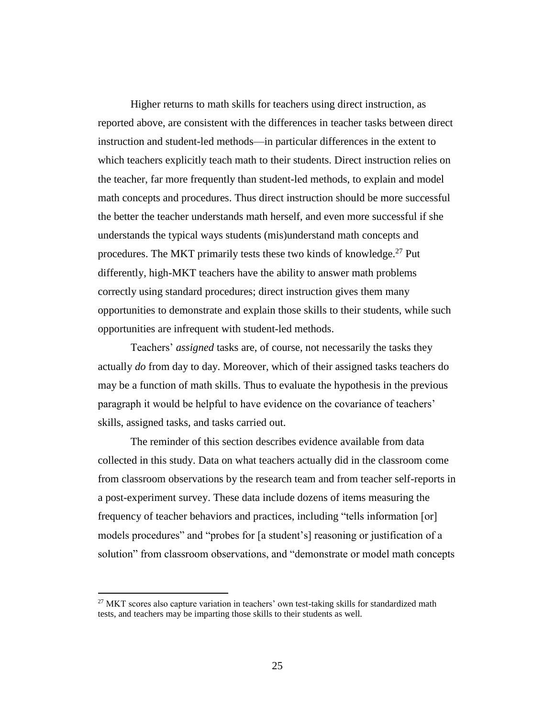Higher returns to math skills for teachers using direct instruction, as reported above, are consistent with the differences in teacher tasks between direct instruction and student-led methods—in particular differences in the extent to which teachers explicitly teach math to their students. Direct instruction relies on the teacher, far more frequently than student-led methods, to explain and model math concepts and procedures. Thus direct instruction should be more successful the better the teacher understands math herself, and even more successful if she understands the typical ways students (mis)understand math concepts and procedures. The MKT primarily tests these two kinds of knowledge.<sup>27</sup> Put differently, high-MKT teachers have the ability to answer math problems correctly using standard procedures; direct instruction gives them many opportunities to demonstrate and explain those skills to their students, while such opportunities are infrequent with student-led methods.

Teachers' *assigned* tasks are, of course, not necessarily the tasks they actually *do* from day to day. Moreover, which of their assigned tasks teachers do may be a function of math skills. Thus to evaluate the hypothesis in the previous paragraph it would be helpful to have evidence on the covariance of teachers' skills, assigned tasks, and tasks carried out.

The reminder of this section describes evidence available from data collected in this study. Data on what teachers actually did in the classroom come from classroom observations by the research team and from teacher self-reports in a post-experiment survey. These data include dozens of items measuring the frequency of teacher behaviors and practices, including "tells information [or] models procedures" and "probes for [a student's] reasoning or justification of a solution" from classroom observations, and "demonstrate or model math concepts

 $27$  MKT scores also capture variation in teachers' own test-taking skills for standardized math tests, and teachers may be imparting those skills to their students as well.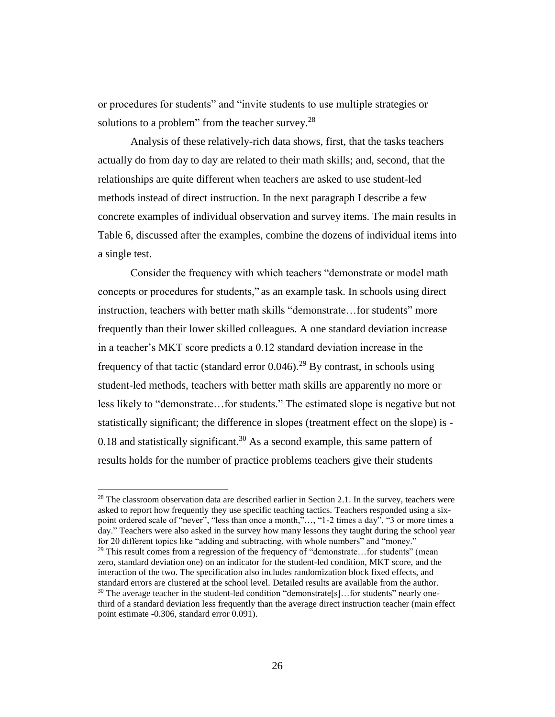or procedures for students" and "invite students to use multiple strategies or solutions to a problem" from the teacher survey. $28$ 

Analysis of these relatively-rich data shows, first, that the tasks teachers actually do from day to day are related to their math skills; and, second, that the relationships are quite different when teachers are asked to use student-led methods instead of direct instruction. In the next paragraph I describe a few concrete examples of individual observation and survey items. The main results in Table 6, discussed after the examples, combine the dozens of individual items into a single test.

Consider the frequency with which teachers "demonstrate or model math concepts or procedures for students," as an example task. In schools using direct instruction, teachers with better math skills "demonstrate…for students" more frequently than their lower skilled colleagues. A one standard deviation increase in a teacher's MKT score predicts a 0.12 standard deviation increase in the frequency of that tactic (standard error  $0.046$ ).<sup>29</sup> By contrast, in schools using student-led methods, teachers with better math skills are apparently no more or less likely to "demonstrate…for students." The estimated slope is negative but not statistically significant; the difference in slopes (treatment effect on the slope) is - 0.18 and statistically significant.<sup>30</sup> As a second example, this same pattern of results holds for the number of practice problems teachers give their students

 $\overline{a}$ 

<sup>29</sup> This result comes from a regression of the frequency of "demonstrate...for students" (mean zero, standard deviation one) on an indicator for the student-led condition, MKT score, and the interaction of the two. The specification also includes randomization block fixed effects, and standard errors are clustered at the school level. Detailed results are available from the author.  $30$  The average teacher in the student-led condition "demonstrate[s]...for students" nearly onethird of a standard deviation less frequently than the average direct instruction teacher (main effect point estimate -0.306, standard error 0.091).

 $^{28}$  The classroom observation data are described earlier in Section 2.1. In the survey, teachers were asked to report how frequently they use specific teaching tactics. Teachers responded using a sixpoint ordered scale of "never", "less than once a month,"…, "1-2 times a day", "3 or more times a day." Teachers were also asked in the survey how many lessons they taught during the school year for 20 different topics like "adding and subtracting, with whole numbers" and "money."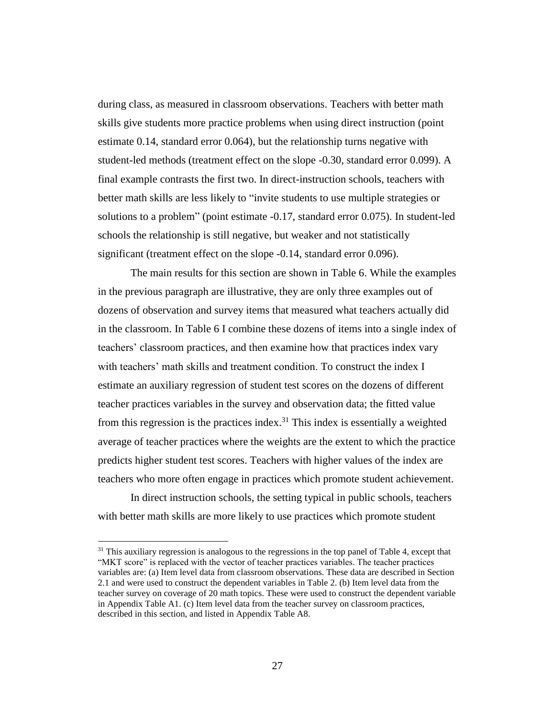during class, as measured in classroom observations. Teachers with better math skills give students more practice problems when using direct instruction (point estimate 0.14, standard error 0.064), but the relationship turns negative with student-led methods (treatment effect on the slope -0.30, standard error 0.099). A final example contrasts the first two. In direct-instruction schools, teachers with better math skills are less likely to "invite students to use multiple strategies or solutions to a problem" (point estimate -0.17, standard error 0.075). In student-led schools the relationship is still negative, but weaker and not statistically significant (treatment effect on the slope -0.14, standard error 0.096).

The main results for this section are shown in Table 6. While the examples in the previous paragraph are illustrative, they are only three examples out of dozens of observation and survey items that measured what teachers actually did in the classroom. In Table 6 I combine these dozens of items into a single index of teachers' classroom practices, and then examine how that practices index vary with teachers' math skills and treatment condition. To construct the index I estimate an auxiliary regression of student test scores on the dozens of different teacher practices variables in the survey and observation data; the fitted value from this regression is the practices index.<sup>31</sup> This index is essentially a weighted average of teacher practices where the weights are the extent to which the practice predicts higher student test scores. Teachers with higher values of the index are teachers who more often engage in practices which promote student achievement.

In direct instruction schools, the setting typical in public schools, teachers with better math skills are more likely to use practices which promote student

 $31$  This auxiliary regression is analogous to the regressions in the top panel of Table 4, except that "MKT score" is replaced with the vector of teacher practices variables. The teacher practices variables are: (a) Item level data from classroom observations. These data are described in Section 2.1 and were used to construct the dependent variables in Table 2. (b) Item level data from the teacher survey on coverage of 20 math topics. These were used to construct the dependent variable in Appendix Table A1. (c) Item level data from the teacher survey on classroom practices, described in this section, and listed in Appendix Table A8.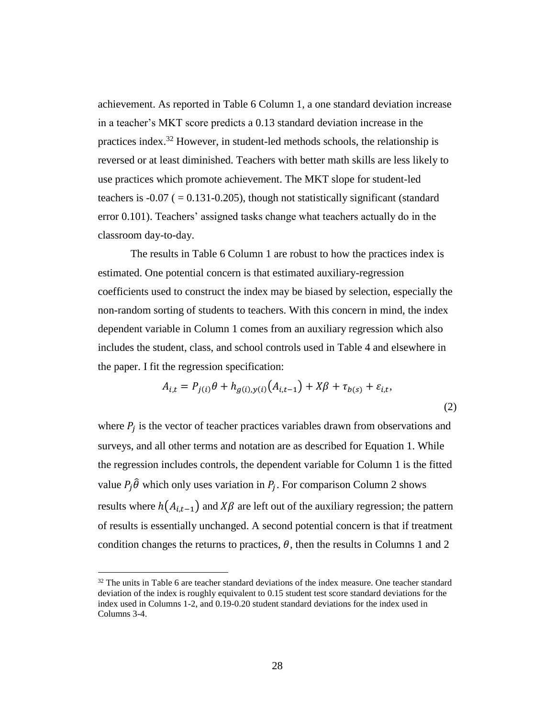achievement. As reported in Table 6 Column 1, a one standard deviation increase in a teacher's MKT score predicts a 0.13 standard deviation increase in the practices index.<sup>32</sup> However, in student-led methods schools, the relationship is reversed or at least diminished. Teachers with better math skills are less likely to use practices which promote achievement. The MKT slope for student-led teachers is  $-0.07$  ( $= 0.131 - 0.205$ ), though not statistically significant (standard error 0.101). Teachers' assigned tasks change what teachers actually do in the classroom day-to-day.

The results in Table 6 Column 1 are robust to how the practices index is estimated. One potential concern is that estimated auxiliary-regression coefficients used to construct the index may be biased by selection, especially the non-random sorting of students to teachers. With this concern in mind, the index dependent variable in Column 1 comes from an auxiliary regression which also includes the student, class, and school controls used in Table 4 and elsewhere in the paper. I fit the regression specification:

$$
A_{i,t} = P_{j(i)}\theta + h_{g(i),y(i)}(A_{i,t-1}) + X\beta + \tau_{b(s)} + \varepsilon_{i,t},
$$
\n(2)

where  $P_j$  is the vector of teacher practices variables drawn from observations and surveys, and all other terms and notation are as described for Equation 1. While the regression includes controls, the dependent variable for Column 1 is the fitted value  $P_j \hat{\theta}$  which only uses variation in  $P_j$ . For comparison Column 2 shows results where  $h(A_{i,t-1})$  and  $X\beta$  are left out of the auxiliary regression; the pattern of results is essentially unchanged. A second potential concern is that if treatment condition changes the returns to practices,  $\theta$ , then the results in Columns 1 and 2

 $32$  The units in Table 6 are teacher standard deviations of the index measure. One teacher standard deviation of the index is roughly equivalent to 0.15 student test score standard deviations for the index used in Columns 1-2, and 0.19-0.20 student standard deviations for the index used in Columns 3-4.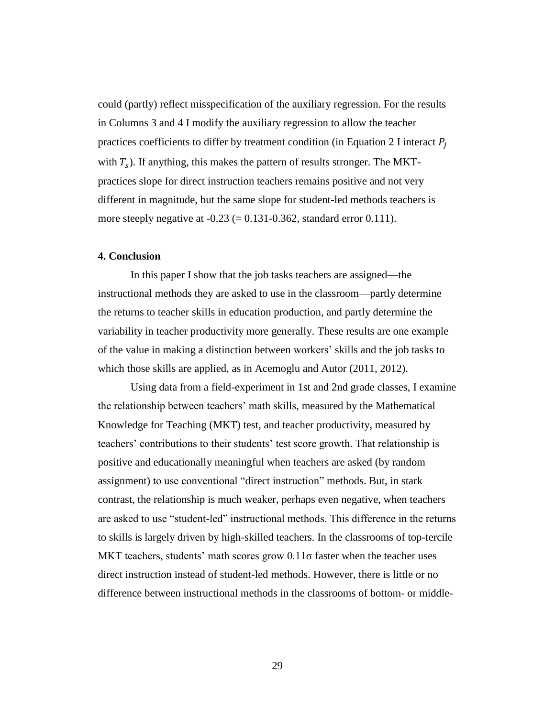could (partly) reflect misspecification of the auxiliary regression. For the results in Columns 3 and 4 I modify the auxiliary regression to allow the teacher practices coefficients to differ by treatment condition (in Equation 2 I interact  $P_i$ with  $T_s$ ). If anything, this makes the pattern of results stronger. The MKTpractices slope for direct instruction teachers remains positive and not very different in magnitude, but the same slope for student-led methods teachers is more steeply negative at  $-0.23$  (= 0.131 $-0.362$ , standard error 0.111).

#### **4. Conclusion**

In this paper I show that the job tasks teachers are assigned—the instructional methods they are asked to use in the classroom—partly determine the returns to teacher skills in education production, and partly determine the variability in teacher productivity more generally. These results are one example of the value in making a distinction between workers' skills and the job tasks to which those skills are applied, as in Acemoglu and Autor (2011, 2012).

Using data from a field-experiment in 1st and 2nd grade classes, I examine the relationship between teachers' math skills, measured by the Mathematical Knowledge for Teaching (MKT) test, and teacher productivity, measured by teachers' contributions to their students' test score growth. That relationship is positive and educationally meaningful when teachers are asked (by random assignment) to use conventional "direct instruction" methods. But, in stark contrast, the relationship is much weaker, perhaps even negative, when teachers are asked to use "student-led" instructional methods. This difference in the returns to skills is largely driven by high-skilled teachers. In the classrooms of top-tercile MKT teachers, students' math scores grow  $0.11\sigma$  faster when the teacher uses direct instruction instead of student-led methods. However, there is little or no difference between instructional methods in the classrooms of bottom- or middle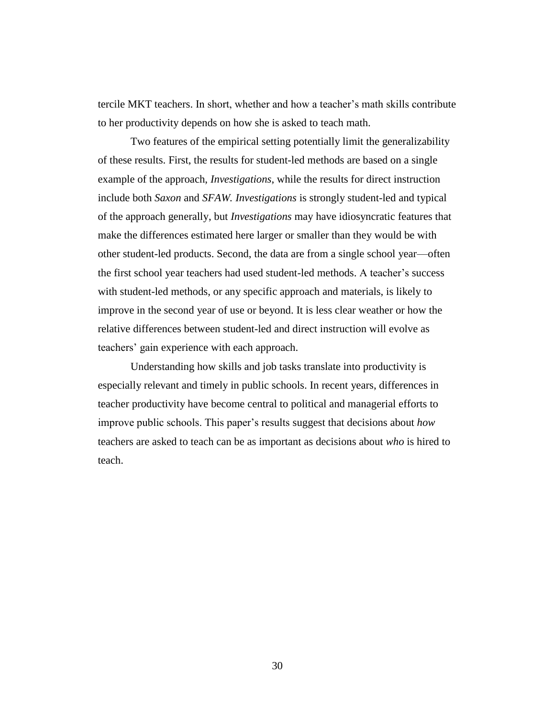tercile MKT teachers. In short, whether and how a teacher's math skills contribute to her productivity depends on how she is asked to teach math.

Two features of the empirical setting potentially limit the generalizability of these results. First, the results for student-led methods are based on a single example of the approach, *Investigations*, while the results for direct instruction include both *Saxon* and *SFAW. Investigations* is strongly student-led and typical of the approach generally, but *Investigations* may have idiosyncratic features that make the differences estimated here larger or smaller than they would be with other student-led products. Second, the data are from a single school year—often the first school year teachers had used student-led methods. A teacher's success with student-led methods, or any specific approach and materials, is likely to improve in the second year of use or beyond. It is less clear weather or how the relative differences between student-led and direct instruction will evolve as teachers' gain experience with each approach.

Understanding how skills and job tasks translate into productivity is especially relevant and timely in public schools. In recent years, differences in teacher productivity have become central to political and managerial efforts to improve public schools. This paper's results suggest that decisions about *how* teachers are asked to teach can be as important as decisions about *who* is hired to teach.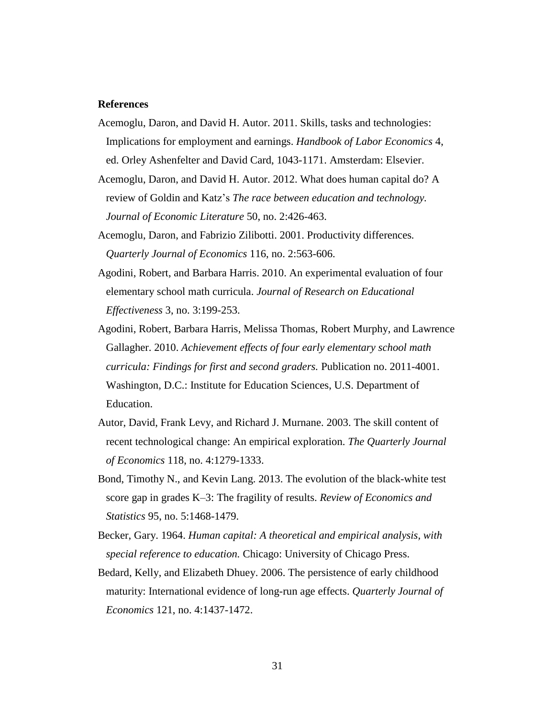#### **References**

- Acemoglu, Daron, and David H. Autor. 2011. Skills, tasks and technologies: Implications for employment and earnings. *Handbook of Labor Economics* 4, ed. Orley Ashenfelter and David Card, 1043-1171. Amsterdam: Elsevier.
- Acemoglu, Daron, and David H. Autor. 2012. What does human capital do? A review of Goldin and Katz's *The race between education and technology. Journal of Economic Literature* 50, no. 2:426-463.
- Acemoglu, Daron, and Fabrizio Zilibotti. 2001. Productivity differences*. Quarterly Journal of Economics* 116, no. 2:563-606.
- Agodini, Robert, and Barbara Harris. 2010. An experimental evaluation of four elementary school math curricula. *Journal of Research on Educational Effectiveness* 3, no. 3:199-253.
- Agodini, Robert, Barbara Harris, Melissa Thomas, Robert Murphy, and Lawrence Gallagher. 2010. *Achievement effects of four early elementary school math curricula: Findings for first and second graders.* Publication no. 2011-4001. Washington, D.C.: Institute for Education Sciences, U.S. Department of Education.
- Autor, David, Frank Levy, and Richard J. Murnane. 2003. The skill content of recent technological change: An empirical exploration. *The Quarterly Journal of Economics* 118, no. 4:1279-1333.
- Bond, Timothy N., and Kevin Lang. 2013. The evolution of the black-white test score gap in grades K–3: The fragility of results. *Review of Economics and Statistics* 95, no. 5:1468-1479.
- Becker, Gary. 1964. *Human capital: A theoretical and empirical analysis, with special reference to education.* Chicago: University of Chicago Press.
- Bedard, Kelly, and Elizabeth Dhuey. 2006. The persistence of early childhood maturity: International evidence of long-run age effects. *Quarterly Journal of Economics* 121, no. 4:1437-1472.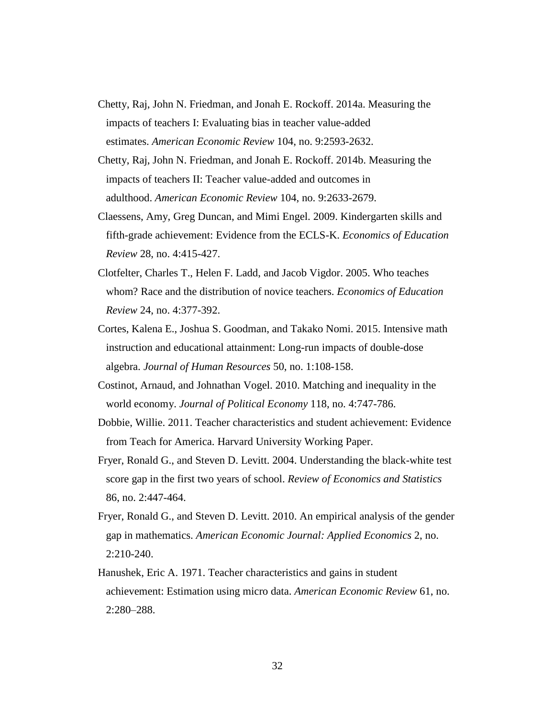- Chetty, Raj, John N. Friedman, and Jonah E. Rockoff. 2014a. Measuring the impacts of teachers I: Evaluating bias in teacher value-added estimates. *American Economic Review* 104, no. 9:2593-2632.
- Chetty, Raj, John N. Friedman, and Jonah E. Rockoff. 2014b. Measuring the impacts of teachers II: Teacher value-added and outcomes in adulthood. *American Economic Review* 104, no. 9:2633-2679.
- Claessens, Amy, Greg Duncan, and Mimi Engel. 2009. Kindergarten skills and fifth-grade achievement: Evidence from the ECLS-K. *Economics of Education Review* 28, no. 4:415-427.
- Clotfelter, Charles T., Helen F. Ladd, and Jacob Vigdor. 2005. Who teaches whom? Race and the distribution of novice teachers. *Economics of Education Review* 24, no. 4:377-392.
- Cortes, Kalena E., Joshua S. Goodman, and Takako Nomi. 2015. Intensive math instruction and educational attainment: Long-run impacts of double-dose algebra. *Journal of Human Resources* 50, no. 1:108-158.
- Costinot, Arnaud, and Johnathan Vogel. 2010. Matching and inequality in the world economy. *Journal of Political Economy* 118, no. 4:747-786.
- Dobbie, Willie. 2011. Teacher characteristics and student achievement: Evidence from Teach for America. Harvard University Working Paper.
- Fryer, Ronald G., and Steven D. Levitt. 2004. Understanding the black-white test score gap in the first two years of school. *Review of Economics and Statistics*  86, no. 2:447-464.
- Fryer, Ronald G., and Steven D. Levitt. 2010. An empirical analysis of the gender gap in mathematics. *American Economic Journal: Applied Economics* 2, no. 2:210-240.
- Hanushek, Eric A. 1971. Teacher characteristics and gains in student achievement: Estimation using micro data. *American Economic Review* 61, no. 2:280–288.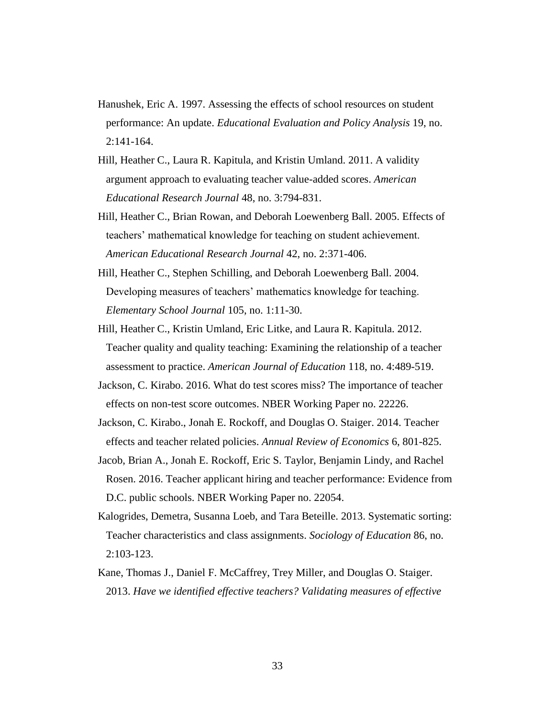- Hanushek, Eric A. 1997. Assessing the effects of school resources on student performance: An update. *Educational Evaluation and Policy Analysis* 19, no.  $2:141-164.$
- Hill, Heather C., Laura R. Kapitula, and Kristin Umland. 2011. A validity argument approach to evaluating teacher value-added scores. *American Educational Research Journal* 48, no. 3:794-831.
- Hill, Heather C., Brian Rowan, and Deborah Loewenberg Ball. 2005. Effects of teachers' mathematical knowledge for teaching on student achievement. *American Educational Research Journal* 42, no. 2:371-406.
- Hill, Heather C., Stephen Schilling, and Deborah Loewenberg Ball. 2004. Developing measures of teachers' mathematics knowledge for teaching. *Elementary School Journal* 105, no. 1:11-30.
- Hill, Heather C., Kristin Umland, Eric Litke, and Laura R. Kapitula. 2012. Teacher quality and quality teaching: Examining the relationship of a teacher assessment to practice. *American Journal of Education* 118, no. 4:489-519.
- Jackson, C. Kirabo. 2016. What do test scores miss? The importance of teacher effects on non-test score outcomes. NBER Working Paper no. 22226.
- Jackson, C. Kirabo., Jonah E. Rockoff, and Douglas O. Staiger. 2014. Teacher effects and teacher related policies. *Annual Review of Economics* 6, 801-825.
- Jacob, Brian A., Jonah E. Rockoff, Eric S. Taylor, Benjamin Lindy, and Rachel Rosen. 2016. Teacher applicant hiring and teacher performance: Evidence from D.C. public schools. NBER Working Paper no. 22054.
- Kalogrides, Demetra, Susanna Loeb, and Tara Beteille. 2013. Systematic sorting: Teacher characteristics and class assignments. *Sociology of Education* 86, no. 2:103-123.
- Kane, Thomas J., Daniel F. McCaffrey, Trey Miller, and Douglas O. Staiger. 2013. *Have we identified effective teachers? Validating measures of effective*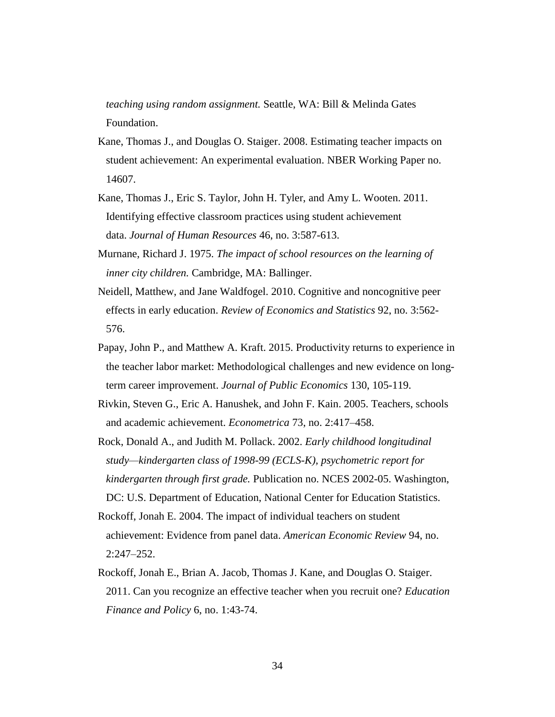*teaching using random assignment.* Seattle, WA: Bill & Melinda Gates Foundation.

- Kane, Thomas J., and Douglas O. Staiger. 2008. Estimating teacher impacts on student achievement: An experimental evaluation. NBER Working Paper no. 14607.
- Kane, Thomas J., Eric S. Taylor, John H. Tyler, and Amy L. Wooten. 2011. Identifying effective classroom practices using student achievement data. *Journal of Human Resources* 46, no. 3:587-613.
- Murnane, Richard J. 1975. *The impact of school resources on the learning of inner city children.* Cambridge, MA: Ballinger.
- Neidell, Matthew, and Jane Waldfogel. 2010. Cognitive and noncognitive peer effects in early education. *Review of Economics and Statistics* 92, no. 3:562- 576.
- Papay, John P., and Matthew A. Kraft. 2015. Productivity returns to experience in the teacher labor market: Methodological challenges and new evidence on longterm career improvement. *Journal of Public Economics* 130, 105-119.
- Rivkin, Steven G., Eric A. Hanushek, and John F. Kain. 2005. Teachers, schools and academic achievement. *Econometrica* 73, no. 2:417–458.
- Rock, Donald A., and Judith M. Pollack. 2002. *Early childhood longitudinal study—kindergarten class of 1998-99 (ECLS-K), psychometric report for kindergarten through first grade.* Publication no. NCES 2002-05. Washington, DC: U.S. Department of Education, National Center for Education Statistics.
- Rockoff, Jonah E. 2004. The impact of individual teachers on student achievement: Evidence from panel data. *American Economic Review* 94, no. 2:247–252.
- Rockoff, Jonah E., Brian A. Jacob, Thomas J. Kane, and Douglas O. Staiger. 2011. Can you recognize an effective teacher when you recruit one? *Education Finance and Policy* 6, no. 1:43-74.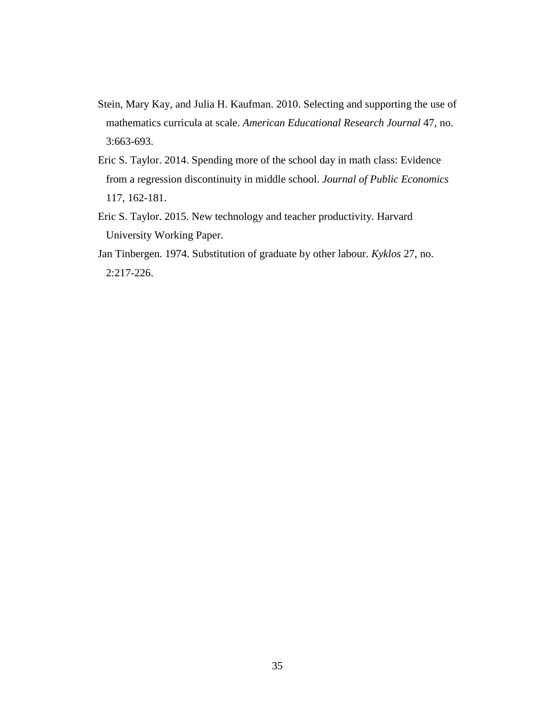- Stein, Mary Kay, and Julia H. Kaufman. 2010. Selecting and supporting the use of mathematics curricula at scale. *American Educational Research Journal* 47, no. 3:663-693.
- Eric S. Taylor. 2014. Spending more of the school day in math class: Evidence from a regression discontinuity in middle school. *Journal of Public Economics*  117, 162-181.
- Eric S. Taylor. 2015. New technology and teacher productivity. Harvard University Working Paper.
- Jan Tinbergen. 1974. Substitution of graduate by other labour. *Kyklos* 27, no. 2:217-226.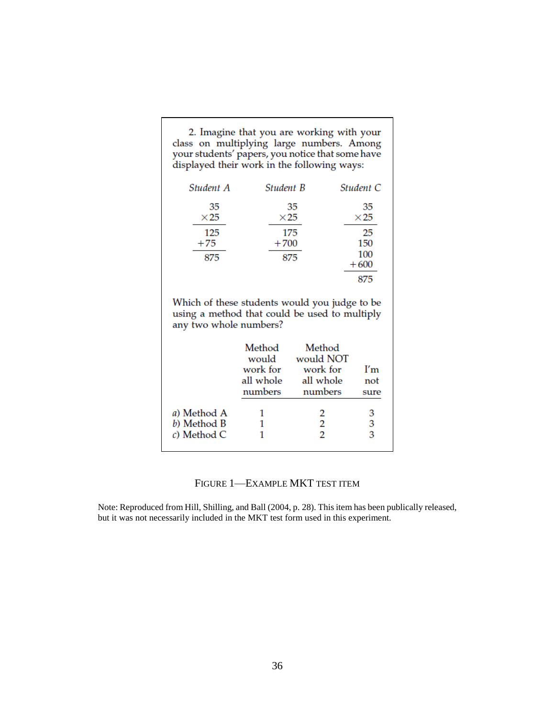| 2. Imagine that you are working with your        |
|--------------------------------------------------|
| class on multiplying large numbers. Among        |
| your students' papers, you notice that some have |
| displayed their work in the following ways:      |

| Student A         | <b>Student B</b>  | Student C         |
|-------------------|-------------------|-------------------|
| 35<br>$\times 25$ | 35<br>$\times 25$ | 35<br>$\times 25$ |
| 125<br>$+75$      | 175<br>$+700$     | 25<br>150         |
| 875               | 875               | 100<br>$+600$     |
|                   |                   | 875               |

Which of these students would you judge to be using a method that could be used to multiply any two whole numbers?

|             | Method<br>would<br>work for<br>all whole<br>numbers | Method<br>would NOT<br>work for<br>all whole<br>numbers | I'm<br>not<br>sure |
|-------------|-----------------------------------------------------|---------------------------------------------------------|--------------------|
| a) Method A |                                                     | 2                                                       | З                  |
| b) Method B |                                                     | 2                                                       | 3                  |
| c) Method C |                                                     | 2                                                       | 3                  |

# FIGURE 1—EXAMPLE MKT TEST ITEM

Note: Reproduced from Hill, Shilling, and Ball (2004, p. 28). This item has been publically released, but it was not necessarily included in the MKT test form used in this experiment.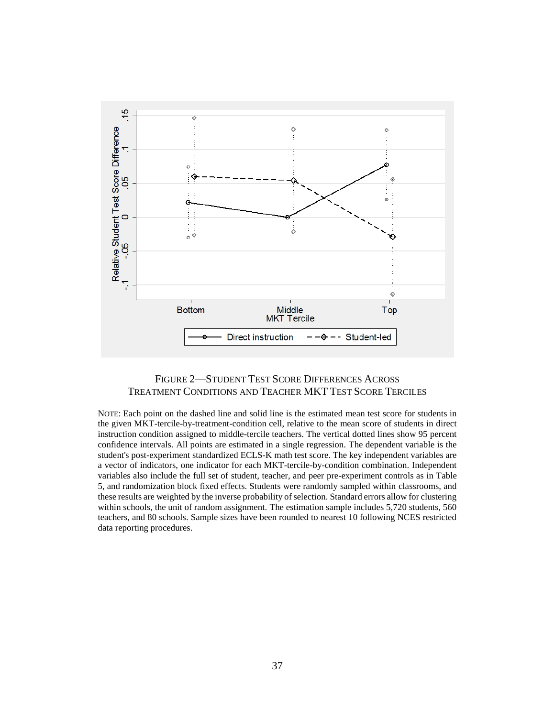

# FIGURE 2—STUDENT TEST SCORE DIFFERENCES ACROSS TREATMENT CONDITIONS AND TEACHER MKT TEST SCORE TERCILES

NOTE: Each point on the dashed line and solid line is the estimated mean test score for students in the given MKT-tercile-by-treatment-condition cell, relative to the mean score of students in direct instruction condition assigned to middle-tercile teachers. The vertical dotted lines show 95 percent confidence intervals. All points are estimated in a single regression. The dependent variable is the student's post-experiment standardized ECLS-K math test score. The key independent variables are a vector of indicators, one indicator for each MKT-tercile-by-condition combination. Independent variables also include the full set of student, teacher, and peer pre-experiment controls as in Table 5, and randomization block fixed effects. Students were randomly sampled within classrooms, and these results are weighted by the inverse probability of selection. Standard errors allow for clustering within schools, the unit of random assignment. The estimation sample includes 5,720 students, 560 teachers, and 80 schools. Sample sizes have been rounded to nearest 10 following NCES restricted data reporting procedures.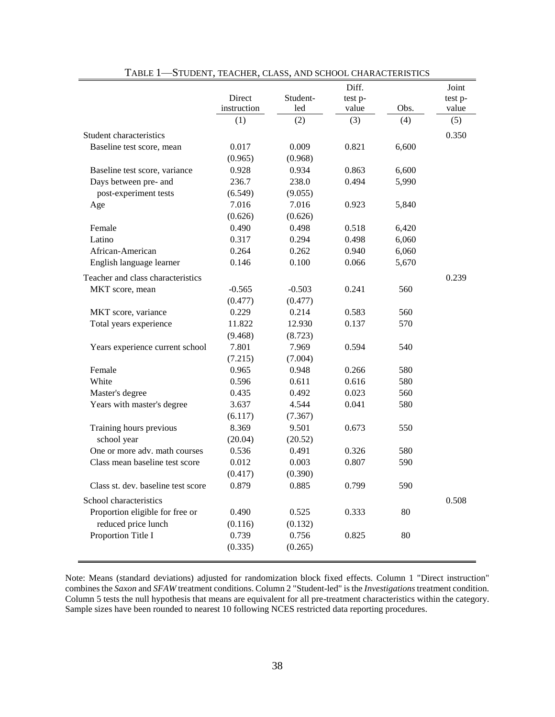|                                    |             |          | Diff.   |       | Joint   |
|------------------------------------|-------------|----------|---------|-------|---------|
|                                    | Direct      | Student- | test p- |       | test p- |
|                                    | instruction | led      | value   | Obs.  | value   |
|                                    | (1)         | (2)      | (3)     | (4)   | (5)     |
| Student characteristics            |             |          |         |       | 0.350   |
| Baseline test score, mean          | 0.017       | 0.009    | 0.821   | 6,600 |         |
|                                    | (0.965)     | (0.968)  |         |       |         |
| Baseline test score, variance      | 0.928       | 0.934    | 0.863   | 6,600 |         |
| Days between pre- and              | 236.7       | 238.0    | 0.494   | 5,990 |         |
| post-experiment tests              | (6.549)     | (9.055)  |         |       |         |
| Age                                | 7.016       | 7.016    | 0.923   | 5,840 |         |
|                                    | (0.626)     | (0.626)  |         |       |         |
| Female                             | 0.490       | 0.498    | 0.518   | 6,420 |         |
| Latino                             | 0.317       | 0.294    | 0.498   | 6,060 |         |
| African-American                   | 0.264       | 0.262    | 0.940   | 6,060 |         |
| English language learner           | 0.146       | 0.100    | 0.066   | 5,670 |         |
| Teacher and class characteristics  |             |          |         |       | 0.239   |
| MKT score, mean                    | $-0.565$    | $-0.503$ | 0.241   | 560   |         |
|                                    | (0.477)     | (0.477)  |         |       |         |
| MKT score, variance                | 0.229       | 0.214    | 0.583   | 560   |         |
| Total years experience             | 11.822      | 12.930   | 0.137   | 570   |         |
|                                    | (9.468)     | (8.723)  |         |       |         |
| Years experience current school    | 7.801       | 7.969    | 0.594   | 540   |         |
|                                    | (7.215)     | (7.004)  |         |       |         |
| Female                             | 0.965       | 0.948    | 0.266   | 580   |         |
| White                              | 0.596       | 0.611    | 0.616   | 580   |         |
| Master's degree                    | 0.435       | 0.492    | 0.023   | 560   |         |
| Years with master's degree         | 3.637       | 4.544    | 0.041   | 580   |         |
|                                    | (6.117)     | (7.367)  |         |       |         |
| Training hours previous            | 8.369       | 9.501    | 0.673   | 550   |         |
| school year                        | (20.04)     | (20.52)  |         |       |         |
| One or more adv. math courses      | 0.536       | 0.491    | 0.326   | 580   |         |
| Class mean baseline test score     | 0.012       | 0.003    | 0.807   | 590   |         |
|                                    | (0.417)     | (0.390)  |         |       |         |
| Class st. dev. baseline test score | 0.879       | 0.885    | 0.799   | 590   |         |
| School characteristics             |             |          |         |       | 0.508   |
| Proportion eligible for free or    | 0.490       | 0.525    | 0.333   | 80    |         |
| reduced price lunch                | (0.116)     | (0.132)  |         |       |         |
| Proportion Title I                 | 0.739       | 0.756    | 0.825   | 80    |         |
|                                    | (0.335)     | (0.265)  |         |       |         |
|                                    |             |          |         |       |         |

TABLE 1—STUDENT, TEACHER, CLASS, AND SCHOOL CHARACTERISTICS

Note: Means (standard deviations) adjusted for randomization block fixed effects. Column 1 "Direct instruction" combines the *Saxon* and *SFAW* treatment conditions. Column 2 "Student-led" is the *Investigations* treatment condition. Column 5 tests the null hypothesis that means are equivalent for all pre-treatment characteristics within the category. Sample sizes have been rounded to nearest 10 following NCES restricted data reporting procedures.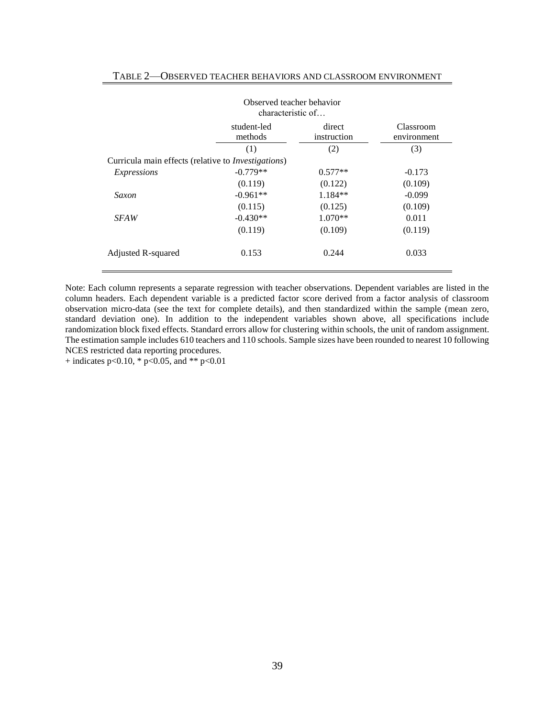|                                                     | Observed teacher behavior<br>characteristic of |                       |                          |
|-----------------------------------------------------|------------------------------------------------|-----------------------|--------------------------|
|                                                     | student-led<br>methods                         | direct<br>instruction | Classroom<br>environment |
|                                                     | (1)                                            | (2)                   | (3)                      |
| Curricula main effects (relative to Investigations) |                                                |                       |                          |
| <i>Expressions</i>                                  | $-0.779**$                                     | $0.577**$             | $-0.173$                 |
|                                                     | (0.119)                                        | (0.122)               | (0.109)                  |
| Saxon                                               | $-0.961**$                                     | $1.184**$             | $-0.099$                 |
|                                                     | (0.115)                                        | (0.125)               | (0.109)                  |
| <i>SFAW</i>                                         | $-0.430**$                                     | $1.070**$             | 0.011                    |
|                                                     | (0.119)                                        | (0.109)               | (0.119)                  |
| Adjusted R-squared                                  | 0.153                                          | 0.244                 | 0.033                    |

#### TABLE 2—OBSERVED TEACHER BEHAVIORS AND CLASSROOM ENVIRONMENT

Note: Each column represents a separate regression with teacher observations. Dependent variables are listed in the column headers. Each dependent variable is a predicted factor score derived from a factor analysis of classroom observation micro-data (see the text for complete details), and then standardized within the sample (mean zero, standard deviation one). In addition to the independent variables shown above, all specifications include randomization block fixed effects. Standard errors allow for clustering within schools, the unit of random assignment. The estimation sample includes 610 teachers and 110 schools. Sample sizes have been rounded to nearest 10 following NCES restricted data reporting procedures.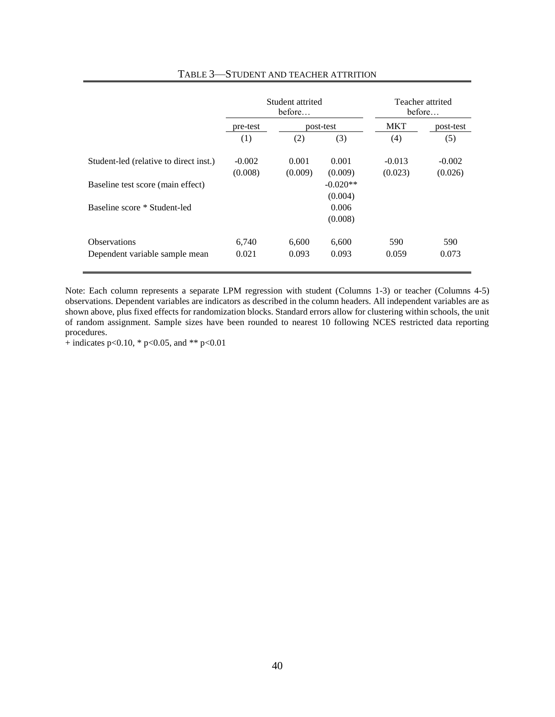|                                        | Student attrited<br>before |         |            |          | Teacher attrited<br>before |
|----------------------------------------|----------------------------|---------|------------|----------|----------------------------|
|                                        | pre-test                   |         | post-test  |          | post-test                  |
|                                        | (1)                        | (2)     | (3)        | (4)      | (5)                        |
| Student-led (relative to direct inst.) | $-0.002$                   | 0.001   | 0.001      | $-0.013$ | $-0.002$                   |
|                                        | (0.008)                    | (0.009) | (0.009)    | (0.023)  | (0.026)                    |
| Baseline test score (main effect)      |                            |         | $-0.020**$ |          |                            |
|                                        |                            |         | (0.004)    |          |                            |
| Baseline score * Student-led           |                            |         | 0.006      |          |                            |
|                                        |                            |         | (0.008)    |          |                            |
| <b>Observations</b>                    | 6,740                      | 6,600   | 6,600      | 590      | 590                        |
| Dependent variable sample mean         | 0.021                      | 0.093   | 0.093      | 0.059    | 0.073                      |
|                                        |                            |         |            |          |                            |

#### TABLE 3—STUDENT AND TEACHER ATTRITION

Note: Each column represents a separate LPM regression with student (Columns 1-3) or teacher (Columns 4-5) observations. Dependent variables are indicators as described in the column headers. All independent variables are as shown above, plus fixed effects for randomization blocks. Standard errors allow for clustering within schools, the unit of random assignment. Sample sizes have been rounded to nearest 10 following NCES restricted data reporting procedures.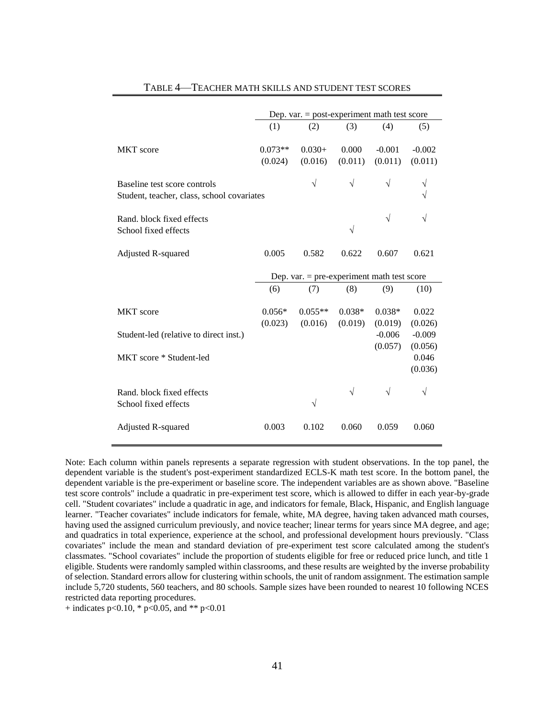|                                                                            | Dep. var. $=$ post-experiment math test score |                      |                     |                     |                     |  |  |
|----------------------------------------------------------------------------|-----------------------------------------------|----------------------|---------------------|---------------------|---------------------|--|--|
|                                                                            | (1)                                           | (2)                  | (3)                 | (4)                 | (5)                 |  |  |
| <b>MKT</b> score                                                           | $0.073**$<br>(0.024)                          | $0.030+$<br>(0.016)  | 0.000<br>(0.011)    | $-0.001$<br>(0.011) | $-0.002$<br>(0.011) |  |  |
| Baseline test score controls<br>Student, teacher, class, school covariates |                                               | $\sqrt{}$            | $\sqrt{ }$          | $\sqrt{}$           | V<br>٦              |  |  |
| Rand, block fixed effects<br>School fixed effects                          |                                               |                      | $\sqrt{}$           | $\sqrt{}$           | V                   |  |  |
| <b>Adjusted R-squared</b>                                                  | 0.005                                         | 0.582                | 0.622               | 0.607               | 0.621               |  |  |
|                                                                            | Dep. var. $=$ pre-experiment math test score  |                      |                     |                     |                     |  |  |
|                                                                            | (6)                                           | (7)                  | (8)                 | (9)                 | (10)                |  |  |
| <b>MKT</b> score                                                           | $0.056*$<br>(0.023)                           | $0.055**$<br>(0.016) | $0.038*$<br>(0.019) | $0.038*$<br>(0.019) | 0.022<br>(0.026)    |  |  |
| Student-led (relative to direct inst.)                                     |                                               |                      |                     | $-0.006$<br>(0.057) | $-0.009$<br>(0.056) |  |  |
| MKT score * Student-led                                                    |                                               |                      |                     |                     | 0.046<br>(0.036)    |  |  |
| Rand, block fixed effects<br>School fixed effects                          |                                               | $\sqrt{}$            | $\sqrt{}$           | V                   | V                   |  |  |
| <b>Adjusted R-squared</b>                                                  | 0.003                                         | 0.102                | 0.060               | 0.059               | 0.060               |  |  |

#### TABLE 4—TEACHER MATH SKILLS AND STUDENT TEST SCORES

Note: Each column within panels represents a separate regression with student observations. In the top panel, the dependent variable is the student's post-experiment standardized ECLS-K math test score. In the bottom panel, the dependent variable is the pre-experiment or baseline score. The independent variables are as shown above. "Baseline test score controls" include a quadratic in pre-experiment test score, which is allowed to differ in each year-by-grade cell. "Student covariates" include a quadratic in age, and indicators for female, Black, Hispanic, and English language learner. "Teacher covariates" include indicators for female, white, MA degree, having taken advanced math courses, having used the assigned curriculum previously, and novice teacher; linear terms for years since MA degree, and age; and quadratics in total experience, experience at the school, and professional development hours previously. "Class covariates" include the mean and standard deviation of pre-experiment test score calculated among the student's classmates. "School covariates" include the proportion of students eligible for free or reduced price lunch, and title 1 eligible. Students were randomly sampled within classrooms, and these results are weighted by the inverse probability of selection. Standard errors allow for clustering within schools, the unit of random assignment. The estimation sample include 5,720 students, 560 teachers, and 80 schools. Sample sizes have been rounded to nearest 10 following NCES restricted data reporting procedures.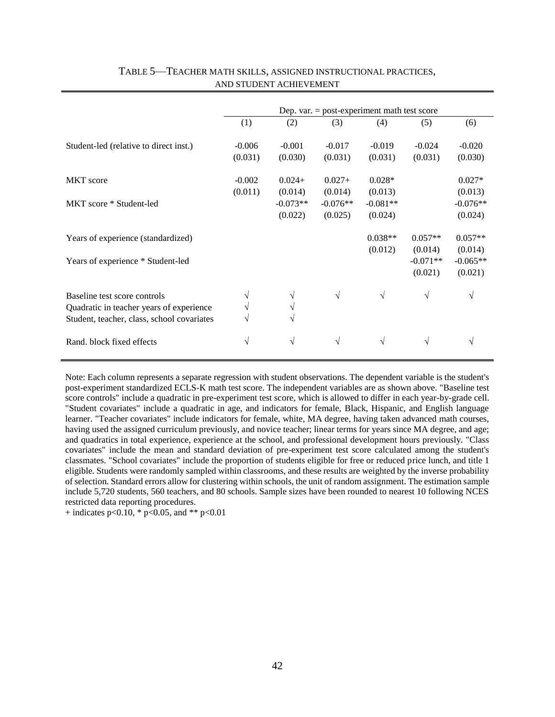|                                                                                                                        | Dep. var. $=$ post-experiment math test score |                                              |                                              |                                              |                                               |                                               |
|------------------------------------------------------------------------------------------------------------------------|-----------------------------------------------|----------------------------------------------|----------------------------------------------|----------------------------------------------|-----------------------------------------------|-----------------------------------------------|
|                                                                                                                        | (1)                                           | (2)                                          | (3)                                          | (4)                                          | (5)                                           | (6)                                           |
| Student-led (relative to direct inst.)                                                                                 | $-0.006$<br>(0.031)                           | $-0.001$<br>(0.030)                          | $-0.017$<br>(0.031)                          | $-0.019$<br>(0.031)                          | $-0.024$<br>(0.031)                           | $-0.020$<br>(0.030)                           |
| <b>MKT</b> score<br>MKT score * Student-led                                                                            | $-0.002$<br>(0.011)                           | $0.024+$<br>(0.014)<br>$-0.073**$<br>(0.022) | $0.027+$<br>(0.014)<br>$-0.076**$<br>(0.025) | $0.028*$<br>(0.013)<br>$-0.081**$<br>(0.024) |                                               | $0.027*$<br>(0.013)<br>$-0.076**$<br>(0.024)  |
| Years of experience (standardized)<br>Years of experience * Student-led                                                |                                               |                                              |                                              | $0.038**$<br>(0.012)                         | $0.057**$<br>(0.014)<br>$-0.071**$<br>(0.021) | $0.057**$<br>(0.014)<br>$-0.065**$<br>(0.021) |
| Baseline test score controls<br>Quadratic in teacher years of experience<br>Student, teacher, class, school covariates |                                               | V<br>V<br>V                                  | $\sqrt{ }$                                   | $\sqrt{ }$                                   | $\sqrt{ }$                                    | V                                             |
| Rand. block fixed effects                                                                                              | $\sqrt{}$                                     | $\sqrt{}$                                    | $\sqrt{ }$                                   | V                                            | $\sqrt{ }$                                    | V                                             |

## TABLE 5—TEACHER MATH SKILLS, ASSIGNED INSTRUCTIONAL PRACTICES, AND STUDENT ACHIEVEMENT

Note: Each column represents a separate regression with student observations. The dependent variable is the student's post-experiment standardized ECLS-K math test score. The independent variables are as shown above. "Baseline test score controls" include a quadratic in pre-experiment test score, which is allowed to differ in each year-by-grade cell. "Student covariates" include a quadratic in age, and indicators for female, Black, Hispanic, and English language learner. "Teacher covariates" include indicators for female, white, MA degree, having taken advanced math courses, having used the assigned curriculum previously, and novice teacher; linear terms for years since MA degree, and age; and quadratics in total experience, experience at the school, and professional development hours previously. "Class covariates" include the mean and standard deviation of pre-experiment test score calculated among the student's classmates. "School covariates" include the proportion of students eligible for free or reduced price lunch, and title 1 eligible. Students were randomly sampled within classrooms, and these results are weighted by the inverse probability of selection. Standard errors allow for clustering within schools, the unit of random assignment. The estimation sample include 5,720 students, 560 teachers, and 80 schools. Sample sizes have been rounded to nearest 10 following NCES restricted data reporting procedures.